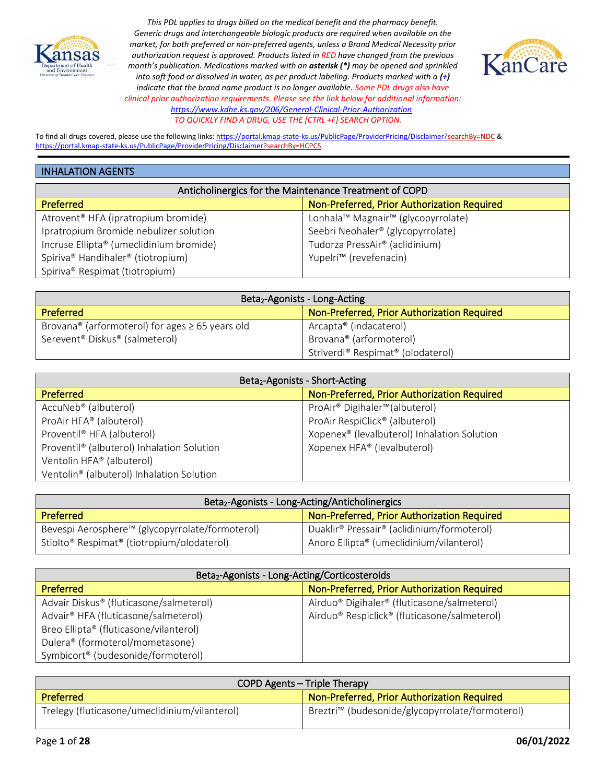



To find all drugs covered, please use the following links[: https://portal.kmap-state-ks.us/PublicPage/ProviderPricing/Disclaimer?searchBy=NDC](https://gcc02.safelinks.protection.outlook.com/?url=https%3A%2F%2Fportal.kmap-state-ks.us%2FPublicPage%2FProviderPricing%2FDisclaimer%3FsearchBy%3DNDC&data=05%7C01%7CAnnette.Grant%40ks.gov%7C6f4aebcb031b435185ba08da230f44a4%7Cdcae8101c92d480cbc43c6761ccccc5a%7C0%7C0%7C637860846518740425%7CUnknown%7CTWFpbGZsb3d8eyJWIjoiMC4wLjAwMDAiLCJQIjoiV2luMzIiLCJBTiI6Ik1haWwiLCJXVCI6Mn0%3D%7C3000%7C%7C%7C&sdata=%2BXsuKC2nc0YmtNHpO99rzQ%2BQejtaivQaJCOCpNK%2BVgo%3D&reserved=0) & <https://portal.kmap-state-ks.us/PublicPage/ProviderPricing/Disclaimer?searchBy=HCPCS>

#### INHALATION AGENTS

| Anticholinergics for the Maintenance Treatment of COPD |                                             |
|--------------------------------------------------------|---------------------------------------------|
| <b>Preferred</b>                                       | Non-Preferred, Prior Authorization Required |
| Atrovent <sup>®</sup> HFA (ipratropium bromide)        | Lonhala™ Magnair™ (glycopyrrolate)          |
| Ipratropium Bromide nebulizer solution                 | Seebri Neohaler® (glycopyrrolate)           |
| Incruse Ellipta® (umeclidinium bromide)                | Tudorza PressAir® (aclidinium)              |
| Spiriva® Handihaler® (tiotropium)                      | Yupelri <sup>™</sup> (revefenacin)          |
| Spiriva <sup>®</sup> Respimat (tiotropium)             |                                             |

| Beta <sub>2</sub> -Agonists - Long-Acting                        |                                             |
|------------------------------------------------------------------|---------------------------------------------|
| Preferred                                                        | Non-Preferred, Prior Authorization Required |
| Brovana <sup>®</sup> (arformoterol) for ages $\geq$ 65 years old | Arcapta® (indacaterol)                      |
| Serevent <sup>®</sup> Diskus <sup>®</sup> (salmeterol)           | Brovana® (arformoterol)                     |
|                                                                  | Striverdi® Respimat® (olodaterol)           |

| Beta <sub>2</sub> -Agonists - Short-Acting |                                                         |
|--------------------------------------------|---------------------------------------------------------|
| Preferred                                  | Non-Preferred, Prior Authorization Required             |
| AccuNeb <sup>®</sup> (albuterol)           | ProAir <sup>®</sup> Digihaler <sup>™</sup> (albuterol)  |
| ProAir HFA® (albuterol)                    | ProAir RespiClick® (albuterol)                          |
| Proventil <sup>®</sup> HFA (albuterol)     | Xopenex <sup>®</sup> (levalbuterol) Inhalation Solution |
| Proventil® (albuterol) Inhalation Solution | Xopenex HFA® (levalbuterol)                             |
| Ventolin HFA® (albuterol)                  |                                                         |
| Ventolin® (albuterol) Inhalation Solution  |                                                         |

| Beta <sub>2</sub> -Agonists - Long-Acting/Anticholinergics         |                                                                    |
|--------------------------------------------------------------------|--------------------------------------------------------------------|
| Preferred                                                          | Non-Preferred, Prior Authorization Required                        |
| Bevespi Aerosphere™ (glycopyrrolate/formoterol)                    | Duaklir <sup>®</sup> Pressair <sup>®</sup> (aclidinium/formoterol) |
| Stiolto <sup>®</sup> Respimat <sup>®</sup> (tiotropium/olodaterol) | Anoro Ellipta® (umeclidinium/vilanterol)                           |

| Beta <sub>2</sub> -Agonists - Long-Acting/Corticosteroids |                                                                      |
|-----------------------------------------------------------|----------------------------------------------------------------------|
| <b>Preferred</b>                                          | Non-Preferred, Prior Authorization Required                          |
| Advair Diskus® (fluticasone/salmeterol)                   | Airduo <sup>®</sup> Digihaler <sup>®</sup> (fluticasone/salmeterol)  |
| Advair <sup>®</sup> HFA (fluticasone/salmeterol)          | Airduo <sup>®</sup> Respiclick <sup>®</sup> (fluticasone/salmeterol) |
| Breo Ellipta® (fluticasone/vilanterol)                    |                                                                      |
| Dulera® (formoterol/mometasone)                           |                                                                      |
| Symbicort <sup>®</sup> (budesonide/formoterol)            |                                                                      |

| COPD Agents – Triple Therapy                  |                                                             |
|-----------------------------------------------|-------------------------------------------------------------|
| <b>Preferred</b>                              | Non-Preferred, Prior Authorization Required                 |
| Trelegy (fluticasone/umeclidinium/vilanterol) | Breztri <sup>™</sup> (budesonide/glycopyrrolate/formoterol) |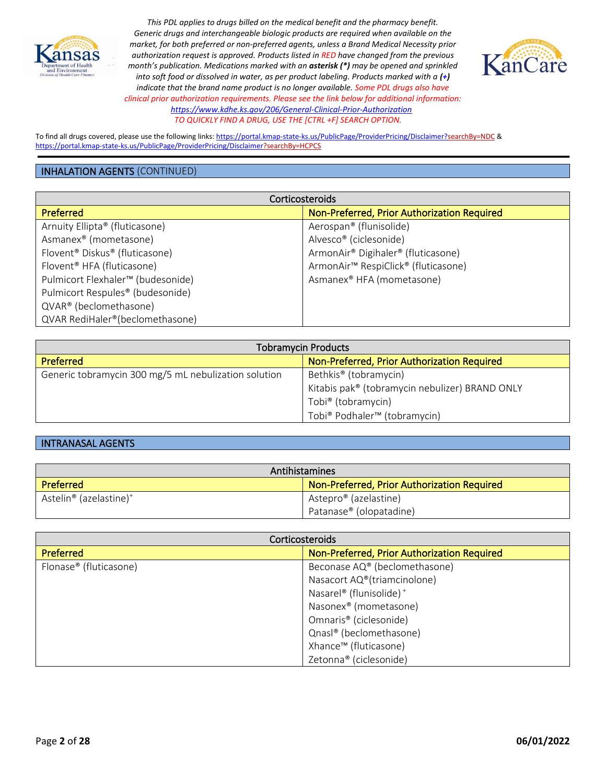



To find all drugs covered, please use the following links[: https://portal.kmap-state-ks.us/PublicPage/ProviderPricing/Disclaimer?searchBy=NDC](https://gcc02.safelinks.protection.outlook.com/?url=https%3A%2F%2Fportal.kmap-state-ks.us%2FPublicPage%2FProviderPricing%2FDisclaimer%3FsearchBy%3DNDC&data=05%7C01%7CAnnette.Grant%40ks.gov%7C6f4aebcb031b435185ba08da230f44a4%7Cdcae8101c92d480cbc43c6761ccccc5a%7C0%7C0%7C637860846518740425%7CUnknown%7CTWFpbGZsb3d8eyJWIjoiMC4wLjAwMDAiLCJQIjoiV2luMzIiLCJBTiI6Ik1haWwiLCJXVCI6Mn0%3D%7C3000%7C%7C%7C&sdata=%2BXsuKC2nc0YmtNHpO99rzQ%2BQejtaivQaJCOCpNK%2BVgo%3D&reserved=0) & <https://portal.kmap-state-ks.us/PublicPage/ProviderPricing/Disclaimer?searchBy=HCPCS>

#### INHALATION AGENTS (CONTINUED)

| Corticosteroids                                        |                                                             |
|--------------------------------------------------------|-------------------------------------------------------------|
| Preferred                                              | Non-Preferred, Prior Authorization Required                 |
| Arnuity Ellipta® (fluticasone)                         | Aerospan® (flunisolide)                                     |
| Asmanex <sup>®</sup> (mometasone)                      | Alvesco <sup>®</sup> (ciclesonide)                          |
| Flovent <sup>®</sup> Diskus <sup>®</sup> (fluticasone) | ArmonAir® Digihaler® (fluticasone)                          |
| Flovent <sup>®</sup> HFA (fluticasone)                 | ArmonAir <sup>™</sup> RespiClick <sup>®</sup> (fluticasone) |
| Pulmicort Flexhaler <sup>™</sup> (budesonide)          | Asmanex <sup>®</sup> HFA (mometasone)                       |
| Pulmicort Respules <sup>®</sup> (budesonide)           |                                                             |
| QVAR® (beclomethasone)                                 |                                                             |
| QVAR RediHaler®(beclomethasone)                        |                                                             |

| <b>Tobramycin Products</b>                           |                                                      |
|------------------------------------------------------|------------------------------------------------------|
| Preferred                                            | Non-Preferred, Prior Authorization Required          |
| Generic tobramycin 300 mg/5 mL nebulization solution | Bethkis <sup>®</sup> (tobramycin)                    |
|                                                      | Kitabis pak® (tobramycin nebulizer) BRAND ONLY       |
|                                                      | Tobi <sup>®</sup> (tobramycin)                       |
|                                                      | Tobi <sup>®</sup> Podhaler <sup>™</sup> (tobramycin) |

## INTRANASAL AGENTS

| Antihistamines                                 |                                             |
|------------------------------------------------|---------------------------------------------|
| Preferred                                      | Non-Preferred, Prior Authorization Required |
| Astelin <sup>®</sup> (azelastine) <sup>+</sup> | Astepro <sup>®</sup> (azelastine)           |
|                                                | Patanase® (olopatadine)                     |

| Corticosteroids        |                                             |
|------------------------|---------------------------------------------|
| <b>Preferred</b>       | Non-Preferred, Prior Authorization Required |
| Flonase® (fluticasone) | Beconase AQ® (beclomethasone)               |
|                        | Nasacort AQ®(triamcinolone)                 |
|                        | Nasarel® (flunisolide) <sup>+</sup>         |
|                        | Nasonex <sup>®</sup> (mometasone)           |
|                        | Omnaris <sup>®</sup> (ciclesonide)          |
|                        | Qnasl® (beclomethasone)                     |
|                        | Xhance™ (fluticasone)                       |
|                        | Zetonna® (ciclesonide)                      |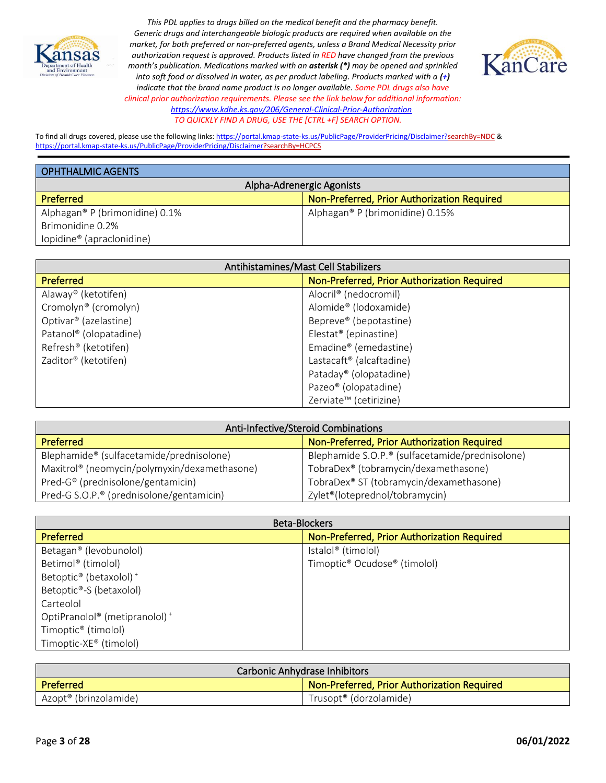



To find all drugs covered, please use the following links[: https://portal.kmap-state-ks.us/PublicPage/ProviderPricing/Disclaimer?searchBy=NDC](https://gcc02.safelinks.protection.outlook.com/?url=https%3A%2F%2Fportal.kmap-state-ks.us%2FPublicPage%2FProviderPricing%2FDisclaimer%3FsearchBy%3DNDC&data=05%7C01%7CAnnette.Grant%40ks.gov%7C6f4aebcb031b435185ba08da230f44a4%7Cdcae8101c92d480cbc43c6761ccccc5a%7C0%7C0%7C637860846518740425%7CUnknown%7CTWFpbGZsb3d8eyJWIjoiMC4wLjAwMDAiLCJQIjoiV2luMzIiLCJBTiI6Ik1haWwiLCJXVCI6Mn0%3D%7C3000%7C%7C%7C&sdata=%2BXsuKC2nc0YmtNHpO99rzQ%2BQejtaivQaJCOCpNK%2BVgo%3D&reserved=0) & <https://portal.kmap-state-ks.us/PublicPage/ProviderPricing/Disclaimer?searchBy=HCPCS>

| <b>OPHTHALMIC AGENTS</b>              |                                             |
|---------------------------------------|---------------------------------------------|
| Alpha-Adrenergic Agonists             |                                             |
| <b>Preferred</b>                      | Non-Preferred, Prior Authorization Required |
| Alphagan® P (brimonidine) 0.1%        | Alphagan® P (brimonidine) 0.15%             |
| Brimonidine 0.2%                      |                                             |
| lopidine <sup>®</sup> (apraclonidine) |                                             |

| Antihistamines/Mast Cell Stabilizers |                                             |
|--------------------------------------|---------------------------------------------|
| Preferred                            | Non-Preferred, Prior Authorization Required |
| Alaway® (ketotifen)                  | Alocril® (nedocromil)                       |
| Cromolyn <sup>®</sup> (cromolyn)     | Alomide <sup>®</sup> (lodoxamide)           |
| Optivar <sup>®</sup> (azelastine)    | Bepreve® (bepotastine)                      |
| Patanol <sup>®</sup> (olopatadine)   | Elestat <sup>®</sup> (epinastine)           |
| Refresh <sup>®</sup> (ketotifen)     | Emadine® (emedastine)                       |
| Zaditor® (ketotifen)                 | Lastacaft <sup>®</sup> (alcaftadine)        |
|                                      | Pataday <sup>®</sup> (olopatadine)          |
|                                      | Pazeo <sup>®</sup> (olopatadine)            |
|                                      | Zerviate <sup>™</sup> (cetirizine)          |

| Anti-Infective/Steroid Combinations                  |                                                  |
|------------------------------------------------------|--------------------------------------------------|
| <b>Preferred</b>                                     | Non-Preferred, Prior Authorization Required      |
| Blephamide® (sulfacetamide/prednisolone)             | Blephamide S.O.P.® (sulfacetamide/prednisolone)  |
| Maxitrol® (neomycin/polymyxin/dexamethasone)         | TobraDex <sup>®</sup> (tobramycin/dexamethasone) |
| Pred-G® (prednisolone/gentamicin)                    | TobraDex® ST (tobramycin/dexamethasone)          |
| Pred-G S.O.P. <sup>®</sup> (prednisolone/gentamicin) | Zylet <sup>®</sup> (loteprednol/tobramycin)      |

| <b>Beta-Blockers</b>                                  |                                                      |
|-------------------------------------------------------|------------------------------------------------------|
| <b>Preferred</b>                                      | Non-Preferred, Prior Authorization Required          |
| Betagan <sup>®</sup> (levobunolol)                    | Istalol <sup>®</sup> (timolol)                       |
| Betimol® (timolol)                                    | Timoptic <sup>®</sup> Ocudose <sup>®</sup> (timolol) |
| Betoptic <sup>®</sup> (betaxolol) <sup>+</sup>        |                                                      |
| Betoptic®-S (betaxolol)                               |                                                      |
| Carteolol                                             |                                                      |
| OptiPranolol <sup>®</sup> (metipranolol) <sup>+</sup> |                                                      |
| Timoptic <sup>®</sup> (timolol)                       |                                                      |
| Timoptic-XE® (timolol)                                |                                                      |

| Carbonic Anhydrase Inhibitors     |                                             |
|-----------------------------------|---------------------------------------------|
| Preferred                         | Non-Preferred, Prior Authorization Required |
| Azopt <sup>®</sup> (brinzolamide) | Trusopt <sup>®</sup> (dorzolamide)          |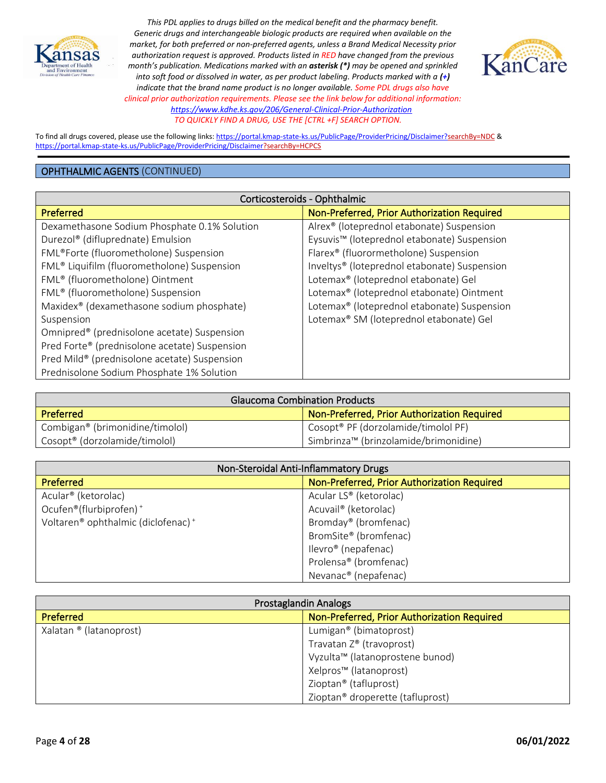



To find all drugs covered, please use the following links[: https://portal.kmap-state-ks.us/PublicPage/ProviderPricing/Disclaimer?searchBy=NDC](https://gcc02.safelinks.protection.outlook.com/?url=https%3A%2F%2Fportal.kmap-state-ks.us%2FPublicPage%2FProviderPricing%2FDisclaimer%3FsearchBy%3DNDC&data=05%7C01%7CAnnette.Grant%40ks.gov%7C6f4aebcb031b435185ba08da230f44a4%7Cdcae8101c92d480cbc43c6761ccccc5a%7C0%7C0%7C637860846518740425%7CUnknown%7CTWFpbGZsb3d8eyJWIjoiMC4wLjAwMDAiLCJQIjoiV2luMzIiLCJBTiI6Ik1haWwiLCJXVCI6Mn0%3D%7C3000%7C%7C%7C&sdata=%2BXsuKC2nc0YmtNHpO99rzQ%2BQejtaivQaJCOCpNK%2BVgo%3D&reserved=0) & <https://portal.kmap-state-ks.us/PublicPage/ProviderPricing/Disclaimer?searchBy=HCPCS>

## OPHTHALMIC AGENTS (CONTINUED)

| Corticosteroids - Ophthalmic                            |                                                          |
|---------------------------------------------------------|----------------------------------------------------------|
| <b>Preferred</b>                                        | Non-Preferred, Prior Authorization Required              |
| Dexamethasone Sodium Phosphate 0.1% Solution            | Alrex <sup>®</sup> (loteprednol etabonate) Suspension    |
| Durezol® (difluprednate) Emulsion                       | Eysuvis <sup>™</sup> (loteprednol etabonate) Suspension  |
| FML®Forte (fluorometholone) Suspension                  | Flarex® (fluorormetholone) Suspension                    |
| FML <sup>®</sup> Liquifilm (fluorometholone) Suspension | Inveltys <sup>®</sup> (loteprednol etabonate) Suspension |
| FML® (fluorometholone) Ointment                         | Lotemax® (loteprednol etabonate) Gel                     |
| FML® (fluorometholone) Suspension                       | Lotemax® (loteprednol etabonate) Ointment                |
| Maxidex <sup>®</sup> (dexamethasone sodium phosphate)   | Lotemax <sup>®</sup> (loteprednol etabonate) Suspension  |
| Suspension                                              | Lotemax® SM (loteprednol etabonate) Gel                  |
| Omnipred® (prednisolone acetate) Suspension             |                                                          |
| Pred Forte® (prednisolone acetate) Suspension           |                                                          |
| Pred Mild® (prednisolone acetate) Suspension            |                                                          |
| Prednisolone Sodium Phosphate 1% Solution               |                                                          |

| <b>Glaucoma Combination Products</b>        |                                                 |
|---------------------------------------------|-------------------------------------------------|
| <b>Preferred</b>                            | Non-Preferred, Prior Authorization Required     |
| Combigan <sup>®</sup> (brimonidine/timolol) | Cosopt <sup>®</sup> PF (dorzolamide/timolol PF) |
| Cosopt <sup>®</sup> (dorzolamide/timolol)   | Simbrinza™ (brinzolamide/brimonidine)           |

| Non-Steroidal Anti-Inflammatory Drugs                      |                                             |
|------------------------------------------------------------|---------------------------------------------|
| Preferred                                                  | Non-Preferred, Prior Authorization Required |
| Acular <sup>®</sup> (ketorolac)                            | Acular LS® (ketorolac)                      |
| Ocufen®(flurbiprofen) <sup>+</sup>                         | Acuvail <sup>®</sup> (ketorolac)            |
| Voltaren <sup>®</sup> ophthalmic (diclofenac) <sup>+</sup> | Bromday® (bromfenac)                        |
|                                                            | BromSite® (bromfenac)                       |
|                                                            | llevro <sup>®</sup> (nepafenac)             |
|                                                            | Prolensa <sup>®</sup> (bromfenac)           |
|                                                            | Nevanac <sup>®</sup> (nepafenac)            |

| Prostaglandin Analogs   |                                              |
|-------------------------|----------------------------------------------|
| <b>Preferred</b>        | Non-Preferred, Prior Authorization Required  |
| Xalatan ® (latanoprost) | Lumigan <sup>®</sup> (bimatoprost)           |
|                         | Travatan Z® (travoprost)                     |
|                         | Vyzulta™ (latanoprostene bunod)              |
|                         | Xelpros <sup>™</sup> (latanoprost)           |
|                         | Zioptan® (tafluprost)                        |
|                         | Zioptan <sup>®</sup> droperette (tafluprost) |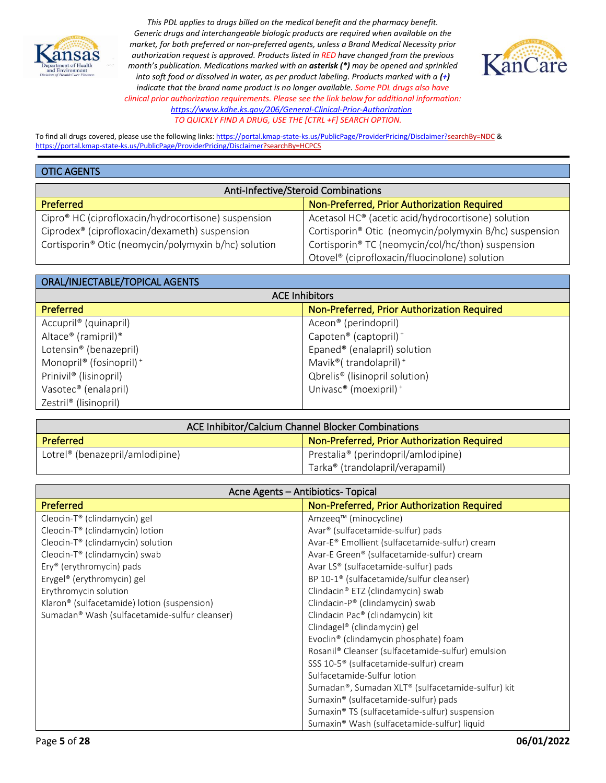



To find all drugs covered, please use the following links[: https://portal.kmap-state-ks.us/PublicPage/ProviderPricing/Disclaimer?searchBy=NDC](https://gcc02.safelinks.protection.outlook.com/?url=https%3A%2F%2Fportal.kmap-state-ks.us%2FPublicPage%2FProviderPricing%2FDisclaimer%3FsearchBy%3DNDC&data=05%7C01%7CAnnette.Grant%40ks.gov%7C6f4aebcb031b435185ba08da230f44a4%7Cdcae8101c92d480cbc43c6761ccccc5a%7C0%7C0%7C637860846518740425%7CUnknown%7CTWFpbGZsb3d8eyJWIjoiMC4wLjAwMDAiLCJQIjoiV2luMzIiLCJBTiI6Ik1haWwiLCJXVCI6Mn0%3D%7C3000%7C%7C%7C&sdata=%2BXsuKC2nc0YmtNHpO99rzQ%2BQejtaivQaJCOCpNK%2BVgo%3D&reserved=0) & <https://portal.kmap-state-ks.us/PublicPage/ProviderPricing/Disclaimer?searchBy=HCPCS>

#### OTIC AGENTS

| Anti-Infective/Steroid Combinations                             |                                                                |
|-----------------------------------------------------------------|----------------------------------------------------------------|
| <b>Preferred</b>                                                | Non-Preferred, Prior Authorization Required                    |
| Cipro <sup>®</sup> HC (ciprofloxacin/hydrocortisone) suspension | Acetasol HC <sup>®</sup> (acetic acid/hydrocortisone) solution |
| Ciprodex <sup>®</sup> (ciprofloxacin/dexameth) suspension       | Cortisporin® Otic (neomycin/polymyxin B/hc) suspension         |
| Cortisporin® Otic (neomycin/polymyxin b/hc) solution            | Cortisporin® TC (neomycin/col/hc/thon) suspension              |
|                                                                 | Otovel <sup>®</sup> (ciprofloxacin/fluocinolone) solution      |

| ORAL/INJECTABLE/TOPICAL AGENTS      |                                                |
|-------------------------------------|------------------------------------------------|
| <b>ACE Inhibitors</b>               |                                                |
| <b>Preferred</b>                    | Non-Preferred, Prior Authorization Required    |
| Accupril <sup>®</sup> (quinapril)   | Aceon <sup>®</sup> (perindopril)               |
| Altace <sup>®</sup> (ramipril)*     | Capoten <sup>®</sup> (captopril) <sup>+</sup>  |
| Lotensin <sup>®</sup> (benazepril)  | Epaned® (enalapril) solution                   |
| Monopril® (fosinopril) <sup>+</sup> | Mavik <sup>®</sup> (trandolapril) <sup>+</sup> |
| Prinivil <sup>®</sup> (lisinopril)  | Qbrelis <sup>®</sup> (lisinopril solution)     |
| Vasotec <sup>®</sup> (enalapril)    | Univasc <sup>®</sup> (moexipril) <sup>+</sup>  |
| Zestril <sup>®</sup> (lisinopril)   |                                                |

| ACE Inhibitor/Calcium Channel Blocker Combinations |                                                 |
|----------------------------------------------------|-------------------------------------------------|
| Preferred                                          | Non-Preferred, Prior Authorization Required     |
| Lotrel <sup>®</sup> (benazepril/amlodipine)        | Prestalia <sup>®</sup> (perindopril/amlodipine) |
|                                                    | Tarka <sup>®</sup> (trandolapril/verapamil)     |

| Acne Agents - Antibiotics- Topical                      |                                                      |
|---------------------------------------------------------|------------------------------------------------------|
| Preferred                                               | Non-Preferred, Prior Authorization Required          |
| Cleocin-T® (clindamycin) gel                            | Amzeeq™ (minocycline)                                |
| Cleocin- $T^{\circ}$ (clindamycin) lotion               | Avar <sup>®</sup> (sulfacetamide-sulfur) pads        |
| Cleocin-T <sup>®</sup> (clindamycin) solution           | Avar-E® Emollient (sulfacetamide-sulfur) cream       |
| Cleocin-T® (clindamycin) swab                           | Avar-E Green® (sulfacetamide-sulfur) cream           |
| Ery® (erythromycin) pads                                | Avar LS® (sulfacetamide-sulfur) pads                 |
| Erygel <sup>®</sup> (erythromycin) gel                  | BP 10-1 <sup>®</sup> (sulfacetamide/sulfur cleanser) |
| Erythromycin solution                                   | Clindacin® ETZ (clindamycin) swab                    |
| Klaron <sup>®</sup> (sulfacetamide) lotion (suspension) | Clindacin-P® (clindamycin) swab                      |
| Sumadan® Wash (sulfacetamide-sulfur cleanser)           | Clindacin Pac® (clindamycin) kit                     |
|                                                         | Clindagel® (clindamycin) gel                         |
|                                                         | Evoclin® (clindamycin phosphate) foam                |
|                                                         | Rosanil® Cleanser (sulfacetamide-sulfur) emulsion    |
|                                                         | SSS 10-5 <sup>®</sup> (sulfacetamide-sulfur) cream   |
|                                                         | Sulfacetamide-Sulfur lotion                          |
|                                                         | Sumadan®, Sumadan XLT® (sulfacetamide-sulfur) kit    |
|                                                         | Sumaxin® (sulfacetamide-sulfur) pads                 |
|                                                         | Sumaxin® TS (sulfacetamide-sulfur) suspension        |
|                                                         | Sumaxin® Wash (sulfacetamide-sulfur) liquid          |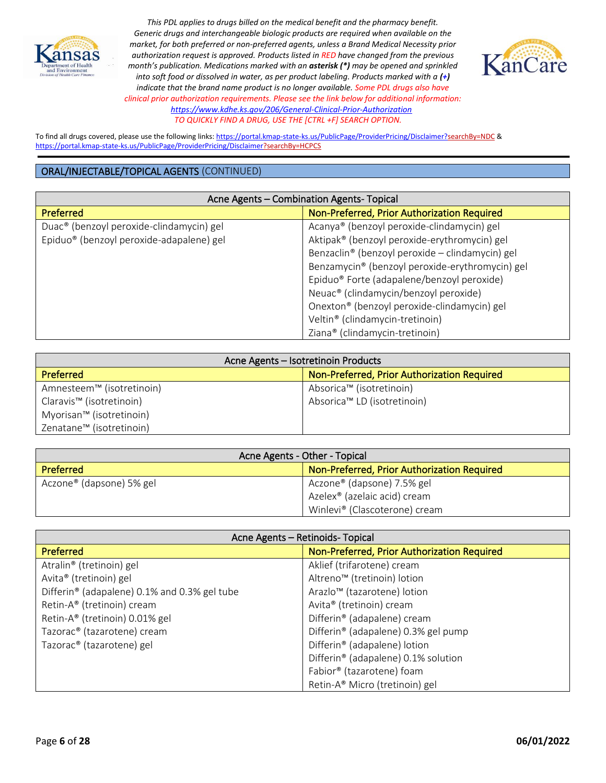



To find all drugs covered, please use the following links[: https://portal.kmap-state-ks.us/PublicPage/ProviderPricing/Disclaimer?searchBy=NDC](https://gcc02.safelinks.protection.outlook.com/?url=https%3A%2F%2Fportal.kmap-state-ks.us%2FPublicPage%2FProviderPricing%2FDisclaimer%3FsearchBy%3DNDC&data=05%7C01%7CAnnette.Grant%40ks.gov%7C6f4aebcb031b435185ba08da230f44a4%7Cdcae8101c92d480cbc43c6761ccccc5a%7C0%7C0%7C637860846518740425%7CUnknown%7CTWFpbGZsb3d8eyJWIjoiMC4wLjAwMDAiLCJQIjoiV2luMzIiLCJBTiI6Ik1haWwiLCJXVCI6Mn0%3D%7C3000%7C%7C%7C&sdata=%2BXsuKC2nc0YmtNHpO99rzQ%2BQejtaivQaJCOCpNK%2BVgo%3D&reserved=0) & <https://portal.kmap-state-ks.us/PublicPage/ProviderPricing/Disclaimer?searchBy=HCPCS>

| Acne Agents - Combination Agents- Topical            |                                                        |
|------------------------------------------------------|--------------------------------------------------------|
| <b>Preferred</b>                                     | Non-Preferred, Prior Authorization Required            |
| Duac <sup>®</sup> (benzoyl peroxide-clindamycin) gel | Acanya <sup>®</sup> (benzoyl peroxide-clindamycin) gel |
| Epiduo <sup>®</sup> (benzoyl peroxide-adapalene) gel | Aktipak® (benzoyl peroxide-erythromycin) gel           |
|                                                      | Benzaclin® (benzoyl peroxide - clindamycin) gel        |
|                                                      | Benzamycin® (benzoyl peroxide-erythromycin) gel        |
|                                                      | Epiduo <sup>®</sup> Forte (adapalene/benzoyl peroxide) |
|                                                      | Neuac <sup>®</sup> (clindamycin/benzoyl peroxide)      |
|                                                      | Onexton® (benzoyl peroxide-clindamycin) gel            |
|                                                      | Veltin <sup>®</sup> (clindamycin-tretinoin)            |
|                                                      | Ziana® (clindamycin-tretinoin)                         |

| Acne Agents – Isotretinoin Products  |                                             |
|--------------------------------------|---------------------------------------------|
| <b>Preferred</b>                     | Non-Preferred, Prior Authorization Required |
| Amnesteem™ (isotretinoin)            | Absorica™ (isotretinoin)                    |
| Claravis <sup>™</sup> (isotretinoin) | Absorica™ LD (isotretinoin)                 |
| Myorisan™ (isotretinoin)             |                                             |
| Zenatane <sup>™</sup> (isotretinoin) |                                             |

| Acne Agents - Other - Topical        |                                             |
|--------------------------------------|---------------------------------------------|
| <b>Preferred</b>                     | Non-Preferred, Prior Authorization Required |
| Aczone <sup>®</sup> (dapsone) 5% gel | Aczone® (dapsone) 7.5% gel                  |
|                                      | Azelex <sup>®</sup> (azelaic acid) cream    |
|                                      | Winlevi® (Clascoterone) cream               |

| Acne Agents - Retinoids- Topical             |                                             |
|----------------------------------------------|---------------------------------------------|
| Preferred                                    | Non-Preferred, Prior Authorization Required |
| Atralin® (tretinoin) gel                     | Aklief (trifarotene) cream                  |
| Avita® (tretinoin) gel                       | Altreno <sup>™</sup> (tretinoin) lotion     |
| Differin® (adapalene) 0.1% and 0.3% gel tube | Arazlo <sup>™</sup> (tazarotene) lotion     |
| Retin-A® (tretinoin) cream                   | Avita® (tretinoin) cream                    |
| Retin-A® (tretinoin) 0.01% gel               | Differin® (adapalene) cream                 |
| Tazorac <sup>®</sup> (tazarotene) cream      | Differin® (adapalene) 0.3% gel pump         |
| Tazorac <sup>®</sup> (tazarotene) gel        | Differin® (adapalene) lotion                |
|                                              | Differin® (adapalene) 0.1% solution         |
|                                              | Fabior® (tazarotene) foam                   |
|                                              | Retin-A® Micro (tretinoin) gel              |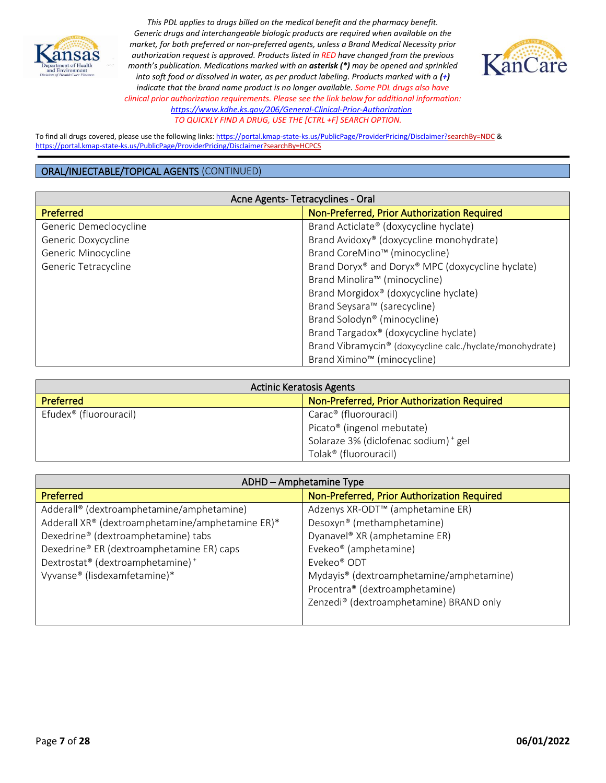



To find all drugs covered, please use the following links[: https://portal.kmap-state-ks.us/PublicPage/ProviderPricing/Disclaimer?searchBy=NDC](https://gcc02.safelinks.protection.outlook.com/?url=https%3A%2F%2Fportal.kmap-state-ks.us%2FPublicPage%2FProviderPricing%2FDisclaimer%3FsearchBy%3DNDC&data=05%7C01%7CAnnette.Grant%40ks.gov%7C6f4aebcb031b435185ba08da230f44a4%7Cdcae8101c92d480cbc43c6761ccccc5a%7C0%7C0%7C637860846518740425%7CUnknown%7CTWFpbGZsb3d8eyJWIjoiMC4wLjAwMDAiLCJQIjoiV2luMzIiLCJBTiI6Ik1haWwiLCJXVCI6Mn0%3D%7C3000%7C%7C%7C&sdata=%2BXsuKC2nc0YmtNHpO99rzQ%2BQejtaivQaJCOCpNK%2BVgo%3D&reserved=0) & <https://portal.kmap-state-ks.us/PublicPage/ProviderPricing/Disclaimer?searchBy=HCPCS>

| Acne Agents-Tetracyclines - Oral |                                                           |
|----------------------------------|-----------------------------------------------------------|
| Preferred                        | Non-Preferred, Prior Authorization Required               |
| Generic Demeclocycline           | Brand Acticlate® (doxycycline hyclate)                    |
| Generic Doxycycline              | Brand Avidoxy® (doxycycline monohydrate)                  |
| Generic Minocycline              | Brand CoreMino <sup>™</sup> (minocycline)                 |
| Generic Tetracycline             | Brand Doryx® and Doryx® MPC (doxycycline hyclate)         |
|                                  | Brand Minolira™ (minocycline)                             |
|                                  | Brand Morgidox <sup>®</sup> (doxycycline hyclate)         |
|                                  | Brand Seysara <sup>™</sup> (sarecycline)                  |
|                                  | Brand Solodyn <sup>®</sup> (minocycline)                  |
|                                  | Brand Targadox® (doxycycline hyclate)                     |
|                                  | Brand Vibramycin® (doxycycline calc./hyclate/monohydrate) |
|                                  | Brand Ximino <sup>™</sup> (minocycline)                   |

| <b>Actinic Keratosis Agents</b>    |                                             |
|------------------------------------|---------------------------------------------|
| <b>Preferred</b>                   | Non-Preferred, Prior Authorization Required |
| Efudex <sup>®</sup> (fluorouracil) | Carac <sup>®</sup> (fluorouracil)           |
|                                    | Picato <sup>®</sup> (ingenol mebutate)      |
|                                    | Solaraze 3% (diclofenac sodium) + gel       |
|                                    | Tolak <sup>®</sup> (fluorouracil)           |

| ADHD - Amphetamine Type                          |                                              |
|--------------------------------------------------|----------------------------------------------|
| <b>Preferred</b>                                 | Non-Preferred, Prior Authorization Required  |
| Adderall® (dextroamphetamine/amphetamine)        | Adzenys XR-ODT <sup>™</sup> (amphetamine ER) |
| Adderall XR® (dextroamphetamine/amphetamine ER)* | Desoxyn® (methamphetamine)                   |
| Dexedrine® (dextroamphetamine) tabs              | Dyanavel <sup>®</sup> XR (amphetamine ER)    |
| Dexedrine® ER (dextroamphetamine ER) caps        | Evekeo <sup>®</sup> (amphetamine)            |
| Dextrostat® (dextroamphetamine) <sup>+</sup>     | Evekeo <sup>®</sup> ODT                      |
| Vyvanse® (lisdexamfetamine)*                     | Mydayis® (dextroamphetamine/amphetamine)     |
|                                                  | Procentra® (dextroamphetamine)               |
|                                                  | Zenzedi® (dextroamphetamine) BRAND only      |
|                                                  |                                              |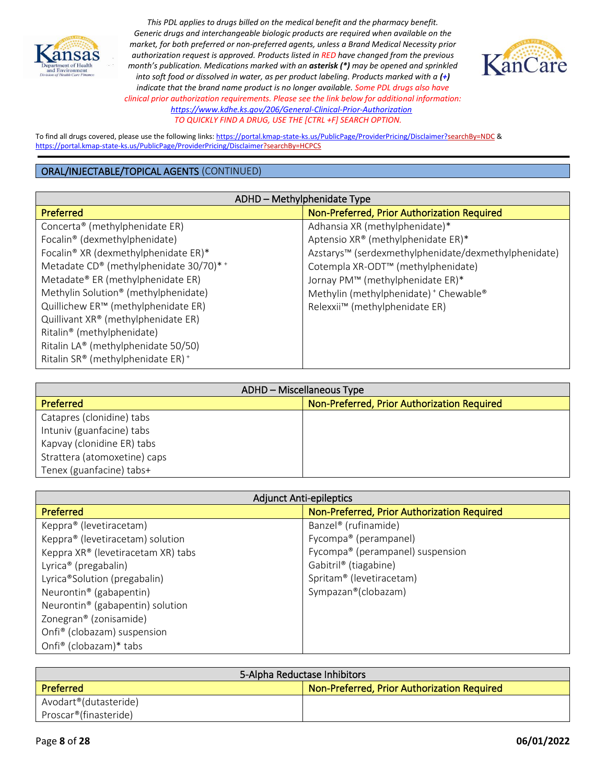



To find all drugs covered, please use the following links[: https://portal.kmap-state-ks.us/PublicPage/ProviderPricing/Disclaimer?searchBy=NDC](https://gcc02.safelinks.protection.outlook.com/?url=https%3A%2F%2Fportal.kmap-state-ks.us%2FPublicPage%2FProviderPricing%2FDisclaimer%3FsearchBy%3DNDC&data=05%7C01%7CAnnette.Grant%40ks.gov%7C6f4aebcb031b435185ba08da230f44a4%7Cdcae8101c92d480cbc43c6761ccccc5a%7C0%7C0%7C637860846518740425%7CUnknown%7CTWFpbGZsb3d8eyJWIjoiMC4wLjAwMDAiLCJQIjoiV2luMzIiLCJBTiI6Ik1haWwiLCJXVCI6Mn0%3D%7C3000%7C%7C%7C&sdata=%2BXsuKC2nc0YmtNHpO99rzQ%2BQejtaivQaJCOCpNK%2BVgo%3D&reserved=0) & <https://portal.kmap-state-ks.us/PublicPage/ProviderPricing/Disclaimer?searchBy=HCPCS>

| ADHD - Methylphenidate Type                   |                                                      |
|-----------------------------------------------|------------------------------------------------------|
| <b>Preferred</b>                              | Non-Preferred, Prior Authorization Required          |
| Concerta® (methylphenidate ER)                | Adhansia XR (methylphenidate)*                       |
| Focalin® (dexmethylphenidate)                 | Aptensio XR® (methylphenidate ER)*                   |
| Focalin® XR (dexmethylphenidate ER)*          | Azstarys™ (serdexmethylphenidate/dexmethylphenidate) |
| Metadate CD® (methylphenidate 30/70)* +       | Cotempla XR-ODT <sup>™</sup> (methylphenidate)       |
| Metadate® ER (methylphenidate ER)             | Jornay PM™ (methylphenidate ER)*                     |
| Methylin Solution® (methylphenidate)          | Methylin (methylphenidate) <sup>+</sup> Chewable®    |
| Quillichew ER™ (methylphenidate ER)           | Relexxii <sup>™</sup> (methylphenidate ER)           |
| Quillivant XR® (methylphenidate ER)           |                                                      |
| Ritalin <sup>®</sup> (methylphenidate)        |                                                      |
| Ritalin LA® (methylphenidate 50/50)           |                                                      |
| Ritalin SR® (methylphenidate ER) <sup>+</sup> |                                                      |

| ADHD - Miscellaneous Type    |                                             |
|------------------------------|---------------------------------------------|
| <b>Preferred</b>             | Non-Preferred, Prior Authorization Required |
| Catapres (clonidine) tabs    |                                             |
| Intuniv (guanfacine) tabs    |                                             |
| Kapvay (clonidine ER) tabs   |                                             |
| Strattera (atomoxetine) caps |                                             |
| Tenex (guanfacine) tabs+     |                                             |

| <b>Adjunct Anti-epileptics</b>               |                                             |
|----------------------------------------------|---------------------------------------------|
| <b>Preferred</b>                             | Non-Preferred, Prior Authorization Required |
| Keppra® (levetiracetam)                      | Banzel <sup>®</sup> (rufinamide)            |
| Keppra® (levetiracetam) solution             | Fycompa® (perampanel)                       |
| Keppra XR® (levetiracetam XR) tabs           | Fycompa® (perampanel) suspension            |
| Lyrica <sup>®</sup> (pregabalin)             | Gabitril <sup>®</sup> (tiagabine)           |
| Lyrica®Solution (pregabalin)                 | Spritam® (levetiracetam)                    |
| Neurontin <sup>®</sup> (gabapentin)          | Sympazan®(clobazam)                         |
| Neurontin <sup>®</sup> (gabapentin) solution |                                             |
| Zonegran <sup>®</sup> (zonisamide)           |                                             |
| Onfi <sup>®</sup> (clobazam) suspension      |                                             |
| Onfi <sup>®</sup> (clobazam)* tabs           |                                             |

| 5-Alpha Reductase Inhibitors                             |  |
|----------------------------------------------------------|--|
| Preferred<br>Non-Preferred, Prior Authorization Required |  |
| Avodart®(dutasteride)                                    |  |
| Proscar <sup>®</sup> (finasteride)                       |  |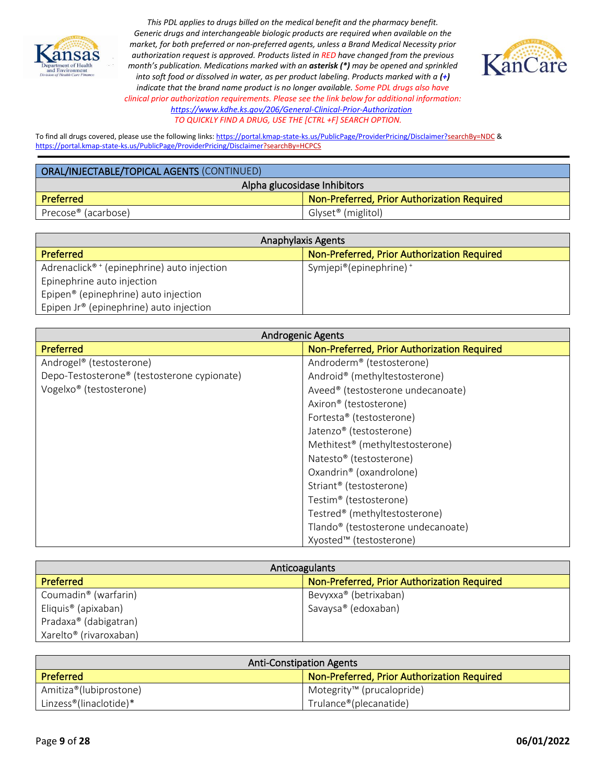



To find all drugs covered, please use the following links[: https://portal.kmap-state-ks.us/PublicPage/ProviderPricing/Disclaimer?searchBy=NDC](https://gcc02.safelinks.protection.outlook.com/?url=https%3A%2F%2Fportal.kmap-state-ks.us%2FPublicPage%2FProviderPricing%2FDisclaimer%3FsearchBy%3DNDC&data=05%7C01%7CAnnette.Grant%40ks.gov%7C6f4aebcb031b435185ba08da230f44a4%7Cdcae8101c92d480cbc43c6761ccccc5a%7C0%7C0%7C637860846518740425%7CUnknown%7CTWFpbGZsb3d8eyJWIjoiMC4wLjAwMDAiLCJQIjoiV2luMzIiLCJBTiI6Ik1haWwiLCJXVCI6Mn0%3D%7C3000%7C%7C%7C&sdata=%2BXsuKC2nc0YmtNHpO99rzQ%2BQejtaivQaJCOCpNK%2BVgo%3D&reserved=0) & <https://portal.kmap-state-ks.us/PublicPage/ProviderPricing/Disclaimer?searchBy=HCPCS>

| ORAL/INJECTABLE/TOPICAL AGENTS (CONTINUED) |                                             |
|--------------------------------------------|---------------------------------------------|
| Alpha glucosidase Inhibitors               |                                             |
| Preferred                                  | Non-Preferred, Prior Authorization Required |
| Precose <sup>®</sup> (acarbose)            | Glyset <sup>®</sup> (miglitol)              |

| <b>Anaphylaxis Agents</b>                               |                                             |
|---------------------------------------------------------|---------------------------------------------|
| <b>Preferred</b>                                        | Non-Preferred, Prior Authorization Required |
| Adrenaclick <sup>® +</sup> (epinephrine) auto injection | Symjepi®(epinephrine) <sup>+</sup>          |
| Epinephrine auto injection                              |                                             |
| Epipen <sup>®</sup> (epinephrine) auto injection        |                                             |
| Epipen $Jr^*$ (epinephrine) auto injection              |                                             |

| <b>Androgenic Agents</b>                    |                                                |
|---------------------------------------------|------------------------------------------------|
| Preferred                                   | Non-Preferred, Prior Authorization Required    |
| Androgel® (testosterone)                    | Androderm <sup>®</sup> (testosterone)          |
| Depo-Testosterone® (testosterone cypionate) | Android® (methyltestosterone)                  |
| Vogelxo® (testosterone)                     | Aveed® (testosterone undecanoate)              |
|                                             | Axiron <sup>®</sup> (testosterone)             |
|                                             | Fortesta® (testosterone)                       |
|                                             | Jatenzo <sup>®</sup> (testosterone)            |
|                                             | Methitest <sup>®</sup> (methyltestosterone)    |
|                                             | Natesto® (testosterone)                        |
|                                             | Oxandrin® (oxandrolone)                        |
|                                             | Striant <sup>®</sup> (testosterone)            |
|                                             | Testim® (testosterone)                         |
|                                             | Testred® (methyltestosterone)                  |
|                                             | Tlando <sup>®</sup> (testosterone undecanoate) |
|                                             | Xyosted™ (testosterone)                        |

| Anticoagulants                     |                                             |
|------------------------------------|---------------------------------------------|
| <b>Preferred</b>                   | Non-Preferred, Prior Authorization Required |
| Coumadin <sup>®</sup> (warfarin)   | Bevyxxa® (betrixaban)                       |
| Eliquis <sup>®</sup> (apixaban)    | Savaysa® (edoxaban)                         |
| Pradaxa® (dabigatran)              |                                             |
| Xarelto <sup>®</sup> (rivaroxaban) |                                             |

| <b>Anti-Constipation Agents</b>     |                                             |
|-------------------------------------|---------------------------------------------|
| <b>Preferred</b>                    | Non-Preferred, Prior Authorization Required |
| Amitiza®(lubiprostone)              | ■ Motegrity <sup>™</sup> (prucalopride)     |
| Linzess <sup>®</sup> (linaclotide)* | Trulance®(plecanatide)                      |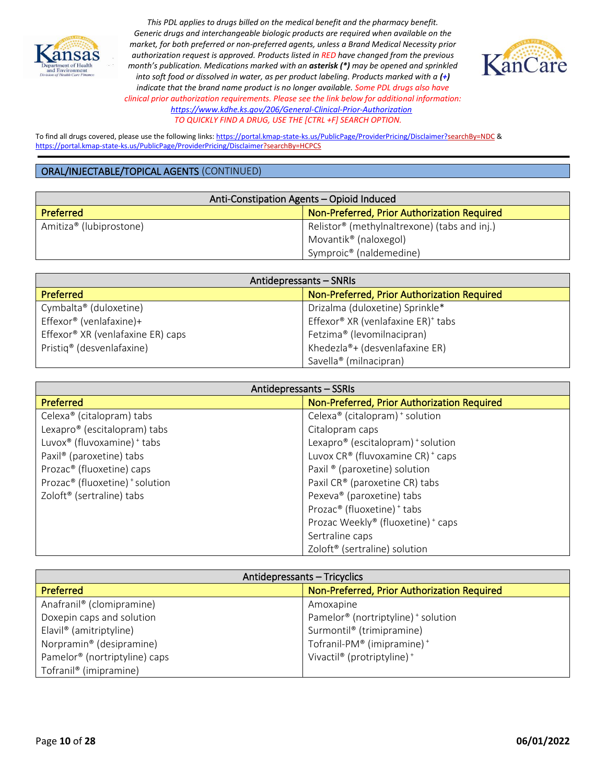



To find all drugs covered, please use the following links[: https://portal.kmap-state-ks.us/PublicPage/ProviderPricing/Disclaimer?searchBy=NDC](https://gcc02.safelinks.protection.outlook.com/?url=https%3A%2F%2Fportal.kmap-state-ks.us%2FPublicPage%2FProviderPricing%2FDisclaimer%3FsearchBy%3DNDC&data=05%7C01%7CAnnette.Grant%40ks.gov%7C6f4aebcb031b435185ba08da230f44a4%7Cdcae8101c92d480cbc43c6761ccccc5a%7C0%7C0%7C637860846518740425%7CUnknown%7CTWFpbGZsb3d8eyJWIjoiMC4wLjAwMDAiLCJQIjoiV2luMzIiLCJBTiI6Ik1haWwiLCJXVCI6Mn0%3D%7C3000%7C%7C%7C&sdata=%2BXsuKC2nc0YmtNHpO99rzQ%2BQejtaivQaJCOCpNK%2BVgo%3D&reserved=0) & <https://portal.kmap-state-ks.us/PublicPage/ProviderPricing/Disclaimer?searchBy=HCPCS>

| Anti-Constipation Agents - Opioid Induced |                                              |
|-------------------------------------------|----------------------------------------------|
| <b>Preferred</b>                          | Non-Preferred, Prior Authorization Required  |
| Amitiza <sup>®</sup> (lubiprostone)       | Relistor® (methylnaltrexone) (tabs and inj.) |
|                                           | Movantik <sup>®</sup> (naloxegol)            |
|                                           | Symproic <sup>®</sup> (naldemedine)          |

| Antidepressants - SNRIs                       |                                                |
|-----------------------------------------------|------------------------------------------------|
| <b>Preferred</b>                              | Non-Preferred, Prior Authorization Required    |
| Cymbalta® (duloxetine)                        | Drizalma (duloxetine) Sprinkle*                |
| Effexor® (venlafaxine)+                       | Effexor® XR (venlafaxine ER) <sup>+</sup> tabs |
| Effexor <sup>®</sup> XR (venlafaxine ER) caps | Fetzima <sup>®</sup> (levomilnacipran)         |
| Pristiq <sup>®</sup> (desvenlafaxine)         | Khedezla®+ (desvenlafaxine ER)                 |
|                                               | Savella <sup>®</sup> (milnacipran)             |

| Antidepressants - SSRIs                     |                                                        |
|---------------------------------------------|--------------------------------------------------------|
| Preferred                                   | Non-Preferred, Prior Authorization Required            |
| Celexa <sup>®</sup> (citalopram) tabs       | Celexa <sup>®</sup> (citalopram) <sup>+</sup> solution |
| Lexapro® (escitalopram) tabs                | Citalopram caps                                        |
| Luvox® (fluvoxamine) + tabs                 | Lexapro <sup>®</sup> (escitalopram) $*$ solution       |
| Paxil <sup>®</sup> (paroxetine) tabs        | Luvox CR® (fluvoxamine CR) <sup>+</sup> caps           |
| Prozac <sup>®</sup> (fluoxetine) caps       | Paxil ® (paroxetine) solution                          |
| Prozac <sup>®</sup> (fluoxetine) + solution | Paxil CR® (paroxetine CR) tabs                         |
| Zoloft <sup>®</sup> (sertraline) tabs       | Pexeva <sup>®</sup> (paroxetine) tabs                  |
|                                             | Prozac <sup>®</sup> (fluoxetine) <sup>+</sup> tabs     |
|                                             | Prozac Weekly® (fluoxetine) + caps                     |
|                                             | Sertraline caps                                        |
|                                             | Zoloft <sup>®</sup> (sertraline) solution              |

| Antidepressants - Tricyclics              |                                                            |
|-------------------------------------------|------------------------------------------------------------|
| Preferred                                 | Non-Preferred, Prior Authorization Required                |
| Anafranil <sup>®</sup> (clomipramine)     | Amoxapine                                                  |
| Doxepin caps and solution                 | Pamelor <sup>®</sup> (nortriptyline) <sup>+</sup> solution |
| Elavil <sup>®</sup> (amitriptyline)       | Surmontil <sup>®</sup> (trimipramine)                      |
| Norpramin <sup>®</sup> (desipramine)      | Tofranil-PM® (imipramine) <sup>+</sup>                     |
| Pamelor <sup>®</sup> (nortriptyline) caps | Vivactil <sup>®</sup> (protriptyline) <sup>+</sup>         |
| Tofranil <sup>®</sup> (imipramine)        |                                                            |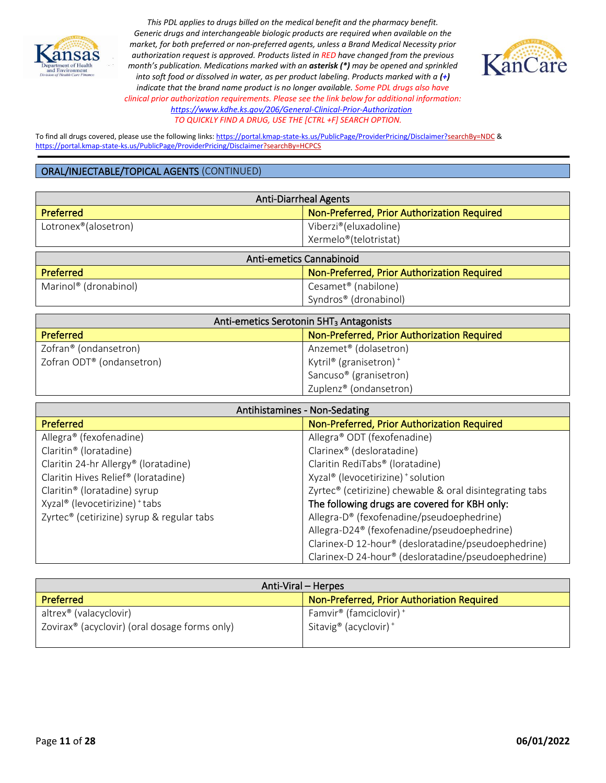



To find all drugs covered, please use the following links[: https://portal.kmap-state-ks.us/PublicPage/ProviderPricing/Disclaimer?searchBy=NDC](https://gcc02.safelinks.protection.outlook.com/?url=https%3A%2F%2Fportal.kmap-state-ks.us%2FPublicPage%2FProviderPricing%2FDisclaimer%3FsearchBy%3DNDC&data=05%7C01%7CAnnette.Grant%40ks.gov%7C6f4aebcb031b435185ba08da230f44a4%7Cdcae8101c92d480cbc43c6761ccccc5a%7C0%7C0%7C637860846518740425%7CUnknown%7CTWFpbGZsb3d8eyJWIjoiMC4wLjAwMDAiLCJQIjoiV2luMzIiLCJBTiI6Ik1haWwiLCJXVCI6Mn0%3D%7C3000%7C%7C%7C&sdata=%2BXsuKC2nc0YmtNHpO99rzQ%2BQejtaivQaJCOCpNK%2BVgo%3D&reserved=0) & <https://portal.kmap-state-ks.us/PublicPage/ProviderPricing/Disclaimer?searchBy=HCPCS>

| <b>Anti-Diarrheal Agents</b>      |                                             |  |
|-----------------------------------|---------------------------------------------|--|
| <b>Preferred</b>                  | Non-Preferred, Prior Authorization Required |  |
| Lotronex <sup>®</sup> (alosetron) | Viberzi®(eluxadoline)                       |  |
|                                   | Xermelo®(telotristat)                       |  |
| <b>Anti-emetics Cannabinoid</b>   |                                             |  |
| <b>Preferred</b>                  | Non-Preferred, Prior Authorization Required |  |
|                                   |                                             |  |
| Marinol <sup>®</sup> (dronabinol) | Cesamet <sup>®</sup> (nabilone)             |  |

| Anti-emetics Serotonin 5HT <sub>3</sub> Antagonists |                                             |
|-----------------------------------------------------|---------------------------------------------|
| <b>Preferred</b>                                    | Non-Preferred, Prior Authorization Required |
| Zofran® (ondansetron)                               | Anzemet <sup>®</sup> (dolasetron)           |
| Zofran ODT <sup>®</sup> (ondansetron)               | Kytril® (granisetron) <sup>+</sup>          |
|                                                     | Sancuso <sup>®</sup> (granisetron)          |
|                                                     | Zuplenz <sup>®</sup> (ondansetron)          |

| Antihistamines - Non-Sedating                    |                                                                      |
|--------------------------------------------------|----------------------------------------------------------------------|
| Preferred                                        | Non-Preferred, Prior Authorization Required                          |
| Allegra® (fexofenadine)                          | Allegra® ODT (fexofenadine)                                          |
| Claritin <sup>®</sup> (loratadine)               | Clarinex® (desloratadine)                                            |
| Claritin 24-hr Allergy <sup>®</sup> (loratadine) | Claritin RediTabs <sup>®</sup> (loratadine)                          |
| Claritin Hives Relief® (loratadine)              | Xyzal® (levocetirizine) + solution                                   |
| Claritin <sup>®</sup> (loratadine) syrup         | Zyrtec <sup>®</sup> (cetirizine) chewable & oral disintegrating tabs |
| Xyzal® (levocetirizine) + tabs                   | The following drugs are covered for KBH only:                        |
| Zyrtec® (cetirizine) syrup & regular tabs        | Allegra-D® (fexofenadine/pseudoephedrine)                            |
|                                                  | Allegra-D24 <sup>®</sup> (fexofenadine/pseudoephedrine)              |
|                                                  | Clarinex-D 12-hour® (desloratadine/pseudoephedrine)                  |
|                                                  | Clarinex-D 24-hour <sup>®</sup> (desloratadine/pseudoephedrine)      |

| Anti-Viral – Herpes                                       |                                                |
|-----------------------------------------------------------|------------------------------------------------|
| <b>Preferred</b>                                          | Non-Preferred, Prior Authoriation Required     |
| altrex <sup>®</sup> (valacyclovir)                        | Famvir <sup>®</sup> (famciclovir) <sup>+</sup> |
| Zovirax <sup>®</sup> (acyclovir) (oral dosage forms only) | Sitavig <sup>®</sup> (acyclovir) <sup>+</sup>  |
|                                                           |                                                |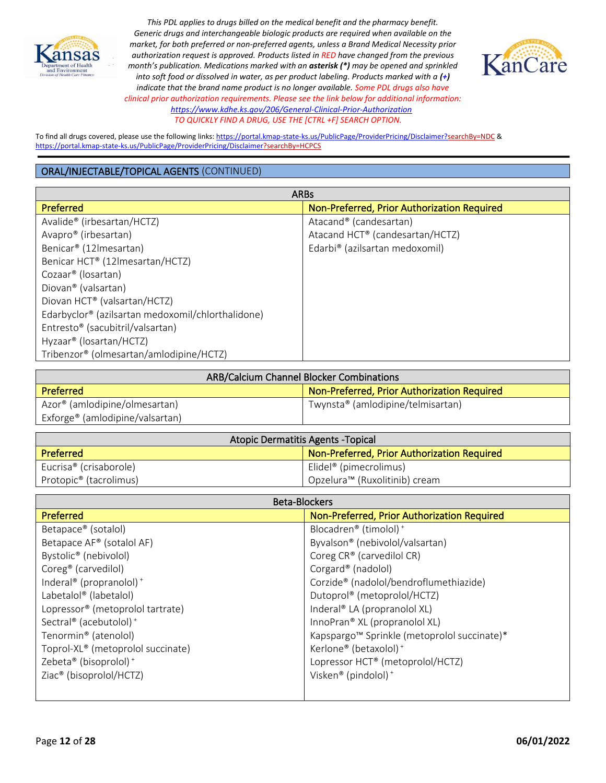



To find all drugs covered, please use the following links[: https://portal.kmap-state-ks.us/PublicPage/ProviderPricing/Disclaimer?searchBy=NDC](https://gcc02.safelinks.protection.outlook.com/?url=https%3A%2F%2Fportal.kmap-state-ks.us%2FPublicPage%2FProviderPricing%2FDisclaimer%3FsearchBy%3DNDC&data=05%7C01%7CAnnette.Grant%40ks.gov%7C6f4aebcb031b435185ba08da230f44a4%7Cdcae8101c92d480cbc43c6761ccccc5a%7C0%7C0%7C637860846518740425%7CUnknown%7CTWFpbGZsb3d8eyJWIjoiMC4wLjAwMDAiLCJQIjoiV2luMzIiLCJBTiI6Ik1haWwiLCJXVCI6Mn0%3D%7C3000%7C%7C%7C&sdata=%2BXsuKC2nc0YmtNHpO99rzQ%2BQejtaivQaJCOCpNK%2BVgo%3D&reserved=0) & <https://portal.kmap-state-ks.us/PublicPage/ProviderPricing/Disclaimer?searchBy=HCPCS>

| <b>ARBs</b>                                       |                                             |
|---------------------------------------------------|---------------------------------------------|
| Preferred                                         | Non-Preferred, Prior Authorization Required |
| Avalide® (irbesartan/HCTZ)                        | Atacand <sup>®</sup> (candesartan)          |
| Avapro <sup>®</sup> (irbesartan)                  | Atacand HCT® (candesartan/HCTZ)             |
| Benicar <sup>®</sup> (12 lmesartan)               | Edarbi® (azilsartan medoxomil)              |
| Benicar HCT® (12Imesartan/HCTZ)                   |                                             |
| Cozaar <sup>®</sup> (losartan)                    |                                             |
| Diovan® (valsartan)                               |                                             |
| Diovan HCT® (valsartan/HCTZ)                      |                                             |
| Edarbyclor® (azilsartan medoxomil/chlorthalidone) |                                             |
| Entresto <sup>®</sup> (sacubitril/valsartan)      |                                             |
| Hyzaar <sup>®</sup> (losartan/HCTZ)               |                                             |
| Tribenzor® (olmesartan/amlodipine/HCTZ)           |                                             |

| ARB/Calcium Channel Blocker Combinations    |                                             |
|---------------------------------------------|---------------------------------------------|
| <b>Preferred</b>                            | Non-Preferred, Prior Authorization Required |
| Azor <sup>®</sup> (amlodipine/olmesartan)   | Twynsta® (amlodipine/telmisartan)           |
| Exforge <sup>®</sup> (amlodipine/valsartan) |                                             |

| Atopic Dermatitis Agents - Topical |                                             |
|------------------------------------|---------------------------------------------|
| Preferred                          | Non-Preferred, Prior Authorization Required |
| Eucrisa® (crisaborole)             | Elidel <sup>®</sup> (pimecrolimus)          |
| Protopic <sup>®</sup> (tacrolimus) | Opzelura™ (Ruxolitinib) cream               |

| <b>Beta-Blockers</b>                            |                                                         |
|-------------------------------------------------|---------------------------------------------------------|
| <b>Preferred</b>                                | Non-Preferred, Prior Authorization Required             |
| Betapace <sup>®</sup> (sotalol)                 | Blocadren® (timolol) <sup>+</sup>                       |
| Betapace AF <sup>®</sup> (sotalol AF)           | Byvalson® (nebivolol/valsartan)                         |
| Bystolic <sup>®</sup> (nebivolol)               | Coreg CR® (carvedilol CR)                               |
| Coreg <sup>®</sup> (carvedilol)                 | Corgard <sup>®</sup> (nadolol)                          |
| Inderal <sup>®</sup> (propranolol) <sup>+</sup> | Corzide® (nadolol/bendroflumethiazide)                  |
| Labetalol <sup>®</sup> (labetalol)              | Dutoprol® (metoprolol/HCTZ)                             |
| Lopressor <sup>®</sup> (metoprolol tartrate)    | Inderal® LA (propranolol XL)                            |
| Sectral® (acebutolol) <sup>+</sup>              | InnoPran® XL (propranolol XL)                           |
| Tenormin <sup>®</sup> (atenolol)                | Kapspargo <sup>™</sup> Sprinkle (metoprolol succinate)* |
| Toprol-XL® (metoprolol succinate)               | Kerlone <sup>®</sup> (betaxolol) <sup>+</sup>           |
| Zebeta <sup>®</sup> (bisoprolol) <sup>+</sup>   | Lopressor HCT® (metoprolol/HCTZ)                        |
| Ziac <sup>®</sup> (bisoprolol/HCTZ)             | Visken® (pindolol) <sup>+</sup>                         |
|                                                 |                                                         |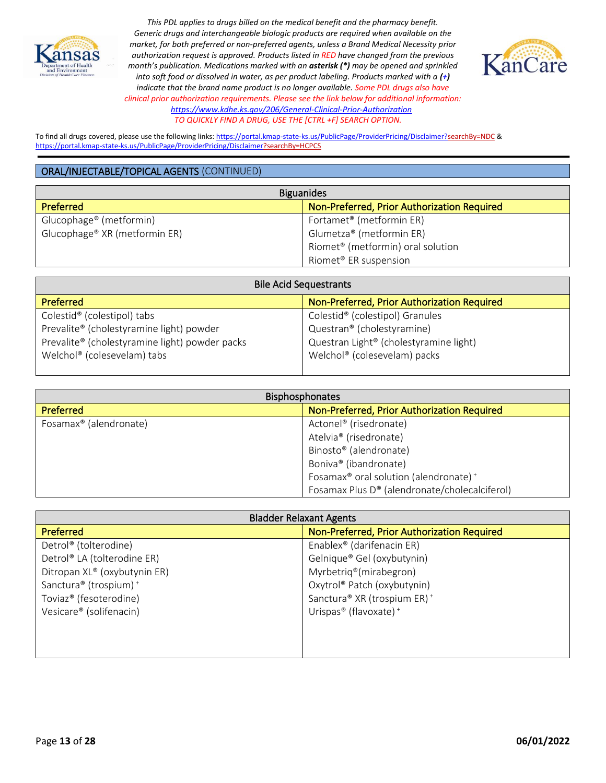



To find all drugs covered, please use the following links[: https://portal.kmap-state-ks.us/PublicPage/ProviderPricing/Disclaimer?searchBy=NDC](https://gcc02.safelinks.protection.outlook.com/?url=https%3A%2F%2Fportal.kmap-state-ks.us%2FPublicPage%2FProviderPricing%2FDisclaimer%3FsearchBy%3DNDC&data=05%7C01%7CAnnette.Grant%40ks.gov%7C6f4aebcb031b435185ba08da230f44a4%7Cdcae8101c92d480cbc43c6761ccccc5a%7C0%7C0%7C637860846518740425%7CUnknown%7CTWFpbGZsb3d8eyJWIjoiMC4wLjAwMDAiLCJQIjoiV2luMzIiLCJBTiI6Ik1haWwiLCJXVCI6Mn0%3D%7C3000%7C%7C%7C&sdata=%2BXsuKC2nc0YmtNHpO99rzQ%2BQejtaivQaJCOCpNK%2BVgo%3D&reserved=0) & <https://portal.kmap-state-ks.us/PublicPage/ProviderPricing/Disclaimer?searchBy=HCPCS>

| <b>Biguanides</b>                             |  |
|-----------------------------------------------|--|
| Non-Preferred, Prior Authorization Required   |  |
| Fortamet <sup>®</sup> (metformin ER)          |  |
| Glumetza® (metformin ER)                      |  |
| Riomet <sup>®</sup> (metformin) oral solution |  |
| Riomet <sup>®</sup> ER suspension             |  |
|                                               |  |

| <b>Bile Acid Sequestrants</b>                  |                                                    |
|------------------------------------------------|----------------------------------------------------|
| <b>Preferred</b>                               | Non-Preferred, Prior Authorization Required        |
| Colestid <sup>®</sup> (colestipol) tabs        | Colestid <sup>®</sup> (colestipol) Granules        |
| Prevalite® (cholestyramine light) powder       | Questran® (cholestyramine)                         |
| Prevalite® (cholestyramine light) powder packs | Questran Light <sup>®</sup> (cholestyramine light) |
| Welchol® (colesevelam) tabs                    | Welchol® (colesevelam) packs                       |
|                                                |                                                    |

| <b>Bisphosphonates</b>             |                                                               |
|------------------------------------|---------------------------------------------------------------|
| <b>Preferred</b>                   | Non-Preferred, Prior Authorization Required                   |
| Fosamax <sup>®</sup> (alendronate) | Actonel <sup>®</sup> (risedronate)                            |
|                                    | Atelvia <sup>®</sup> (risedronate)                            |
|                                    | Binosto® (alendronate)                                        |
|                                    | Boniva <sup>®</sup> (ibandronate)                             |
|                                    | Fosamax <sup>®</sup> oral solution (alendronate) <sup>+</sup> |
|                                    | Fosamax Plus D® (alendronate/cholecalciferol)                 |

| <b>Bladder Relaxant Agents</b>      |                                               |
|-------------------------------------|-----------------------------------------------|
| <b>Preferred</b>                    | Non-Preferred, Prior Authorization Required   |
| Detrol® (tolterodine)               | Enablex <sup>®</sup> (darifenacin ER)         |
| Detrol® LA (tolterodine ER)         | Gelnique® Gel (oxybutynin)                    |
| Ditropan XL® (oxybutynin ER)        | Myrbetriq®(mirabegron)                        |
| Sanctura® (trospium) <sup>+</sup>   | Oxytrol® Patch (oxybutynin)                   |
| Toviaz <sup>®</sup> (fesoterodine)  | Sanctura® XR (trospium ER) <sup>+</sup>       |
| Vesicare <sup>®</sup> (solifenacin) | Urispas <sup>®</sup> (flavoxate) <sup>+</sup> |
|                                     |                                               |
|                                     |                                               |
|                                     |                                               |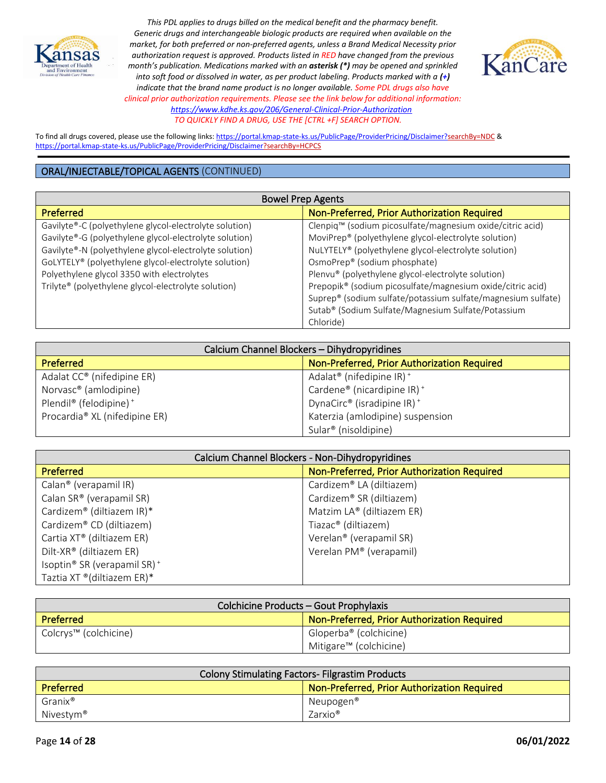



To find all drugs covered, please use the following links[: https://portal.kmap-state-ks.us/PublicPage/ProviderPricing/Disclaimer?searchBy=NDC](https://gcc02.safelinks.protection.outlook.com/?url=https%3A%2F%2Fportal.kmap-state-ks.us%2FPublicPage%2FProviderPricing%2FDisclaimer%3FsearchBy%3DNDC&data=05%7C01%7CAnnette.Grant%40ks.gov%7C6f4aebcb031b435185ba08da230f44a4%7Cdcae8101c92d480cbc43c6761ccccc5a%7C0%7C0%7C637860846518740425%7CUnknown%7CTWFpbGZsb3d8eyJWIjoiMC4wLjAwMDAiLCJQIjoiV2luMzIiLCJBTiI6Ik1haWwiLCJXVCI6Mn0%3D%7C3000%7C%7C%7C&sdata=%2BXsuKC2nc0YmtNHpO99rzQ%2BQejtaivQaJCOCpNK%2BVgo%3D&reserved=0) & <https://portal.kmap-state-ks.us/PublicPage/ProviderPricing/Disclaimer?searchBy=HCPCS>

| <b>Bowel Prep Agents</b>                               |                                                                       |
|--------------------------------------------------------|-----------------------------------------------------------------------|
| <b>Preferred</b>                                       | Non-Preferred, Prior Authorization Required                           |
| Gavilyte®-C (polyethylene glycol-electrolyte solution) | Clenpiq <sup>™</sup> (sodium picosulfate/magnesium oxide/citric acid) |
| Gavilyte®-G (polyethylene glycol-electrolyte solution) | MoviPrep® (polyethylene glycol-electrolyte solution)                  |
| Gavilyte®-N (polyethylene glycol-electrolyte solution) | NuLYTELY® (polyethylene glycol-electrolyte solution)                  |
| GoLYTELY® (polyethylene glycol-electrolyte solution)   | OsmoPrep® (sodium phosphate)                                          |
| Polyethylene glycol 3350 with electrolytes             | Plenvu® (polyethylene glycol-electrolyte solution)                    |
| Trilyte® (polyethylene glycol-electrolyte solution)    | Prepopik® (sodium picosulfate/magnesium oxide/citric acid)            |
|                                                        | Suprep® (sodium sulfate/potassium sulfate/magnesium sulfate)          |
|                                                        | Sutab® (Sodium Sulfate/Magnesium Sulfate/Potassium                    |
|                                                        | Chloride)                                                             |

| Calcium Channel Blockers - Dihydropyridines    |                                                       |
|------------------------------------------------|-------------------------------------------------------|
| <b>Preferred</b>                               | Non-Preferred, Prior Authorization Required           |
| Adalat CC® (nifedipine ER)                     | Adalat <sup>®</sup> (nifedipine IR) <sup>+</sup>      |
| Norvasc <sup>®</sup> (amlodipine)              | Cardene <sup>®</sup> (nicardipine $IR$ ) <sup>+</sup> |
| Plendil <sup>®</sup> (felodipine) <sup>+</sup> | DynaCirc® (isradipine IR) <sup>+</sup>                |
| Procardia <sup>®</sup> XL (nifedipine ER)      | Katerzia (amlodipine) suspension                      |
|                                                | Sular <sup>®</sup> (nisoldipine)                      |

| Calcium Channel Blockers - Non-Dihydropyridines |                                             |
|-------------------------------------------------|---------------------------------------------|
| Preferred                                       | Non-Preferred, Prior Authorization Required |
| Calan <sup>®</sup> (verapamil IR)               | Cardizem® LA (diltiazem)                    |
| Calan SR® (verapamil SR)                        | Cardizem® SR (diltiazem)                    |
| Cardizem® (diltiazem IR)*                       | Matzim LA® (diltiazem ER)                   |
| Cardizem® CD (diltiazem)                        | Tiazac® (diltiazem)                         |
| Cartia XT® (diltiazem ER)                       | Verelan <sup>®</sup> (verapamil SR)         |
| Dilt-XR® (diltiazem ER)                         | Verelan PM® (verapamil)                     |
| Isoptin® SR (verapamil SR) <sup>+</sup>         |                                             |
| Taztia XT ® (diltiazem ER)*                     |                                             |

| Colchicine Products - Gout Prophylaxis |                                             |
|----------------------------------------|---------------------------------------------|
| Preferred                              | Non-Preferred, Prior Authorization Required |
| Colcrys™ (colchicine)                  | Gloperba® (colchicine)                      |
|                                        | Mitigare <sup>™</sup> (colchicine)          |

| <b>Colony Stimulating Factors- Filgrastim Products</b> |                                             |
|--------------------------------------------------------|---------------------------------------------|
| Preferred                                              | Non-Preferred, Prior Authorization Required |
| Granix®                                                | Neupogen®                                   |
| Nivestym <sup>®</sup>                                  | Zarxio®                                     |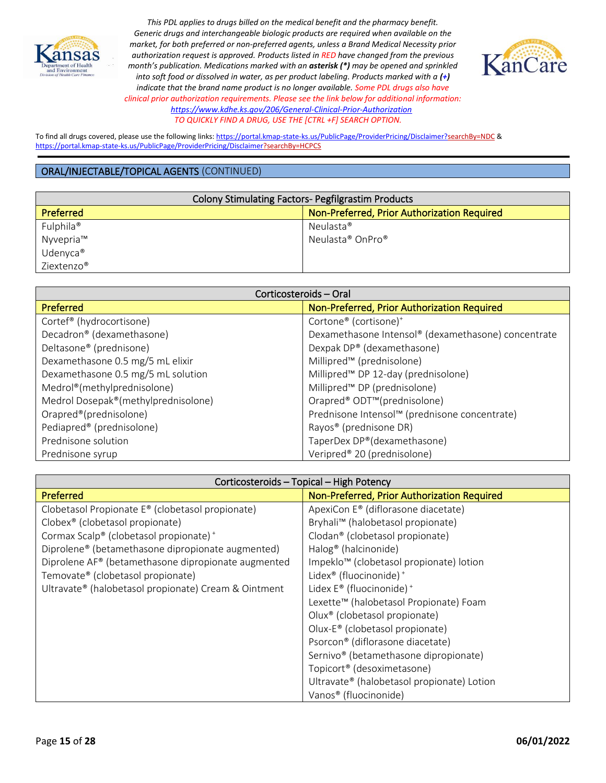



To find all drugs covered, please use the following links[: https://portal.kmap-state-ks.us/PublicPage/ProviderPricing/Disclaimer?searchBy=NDC](https://gcc02.safelinks.protection.outlook.com/?url=https%3A%2F%2Fportal.kmap-state-ks.us%2FPublicPage%2FProviderPricing%2FDisclaimer%3FsearchBy%3DNDC&data=05%7C01%7CAnnette.Grant%40ks.gov%7C6f4aebcb031b435185ba08da230f44a4%7Cdcae8101c92d480cbc43c6761ccccc5a%7C0%7C0%7C637860846518740425%7CUnknown%7CTWFpbGZsb3d8eyJWIjoiMC4wLjAwMDAiLCJQIjoiV2luMzIiLCJBTiI6Ik1haWwiLCJXVCI6Mn0%3D%7C3000%7C%7C%7C&sdata=%2BXsuKC2nc0YmtNHpO99rzQ%2BQejtaivQaJCOCpNK%2BVgo%3D&reserved=0) & <https://portal.kmap-state-ks.us/PublicPage/ProviderPricing/Disclaimer?searchBy=HCPCS>

| <b>Colony Stimulating Factors- Pegfilgrastim Products</b> |                                             |
|-----------------------------------------------------------|---------------------------------------------|
| Preferred                                                 | Non-Preferred, Prior Authorization Required |
| Fulphila <sup>®</sup>                                     | Neulasta®                                   |
| Nyvepria™                                                 | Neulasta® OnPro®                            |
| Udenyca <sup>®</sup>                                      |                                             |
| Ziextenzo®                                                |                                             |

| Corticosteroids - Oral                   |                                                     |
|------------------------------------------|-----------------------------------------------------|
| Preferred                                | Non-Preferred, Prior Authorization Required         |
| Cortef <sup>®</sup> (hydrocortisone)     | Cortone® (cortisone) <sup>+</sup>                   |
| Decadron® (dexamethasone)                | Dexamethasone Intensol® (dexamethasone) concentrate |
| Deltasone <sup>®</sup> (prednisone)      | Dexpak DP® (dexamethasone)                          |
| Dexamethasone 0.5 mg/5 mL elixir         | Millipred™ (prednisolone)                           |
| Dexamethasone 0.5 mg/5 mL solution       | Millipred™ DP 12-day (prednisolone)                 |
| Medrol <sup>®</sup> (methylprednisolone) | Millipred™ DP (prednisolone)                        |
| Medrol Dosepak®(methylprednisolone)      | Orapred® ODT <sup>™</sup> (prednisolone)            |
| Orapred®(prednisolone)                   | Prednisone Intensol™ (prednisone concentrate)       |
| Pediapred® (prednisolone)                | Rayos <sup>®</sup> (prednisone DR)                  |
| Prednisone solution                      | TaperDex DP®(dexamethasone)                         |
| Prednisone syrup                         | Veripred® 20 (prednisolone)                         |

| Corticosteroids - Topical - High Potency                      |                                                     |
|---------------------------------------------------------------|-----------------------------------------------------|
| Preferred                                                     | Non-Preferred, Prior Authorization Required         |
| Clobetasol Propionate E® (clobetasol propionate)              | ApexiCon E® (diflorasone diacetate)                 |
| Clobex <sup>®</sup> (clobetasol propionate)                   | Bryhali™ (halobetasol propionate)                   |
| Cormax Scalp® (clobetasol propionate) <sup>+</sup>            | Clodan <sup>®</sup> (clobetasol propionate)         |
| Diprolene <sup>®</sup> (betamethasone dipropionate augmented) | Halog <sup>®</sup> (halcinonide)                    |
| Diprolene AF® (betamethasone dipropionate augmented           | Impeklo <sup>™</sup> (clobetasol propionate) lotion |
| Temovate® (clobetasol propionate)                             | Lidex <sup>®</sup> (fluocinonide) <sup>+</sup>      |
| Ultravate® (halobetasol propionate) Cream & Ointment          | Lidex E <sup>®</sup> (fluocinonide) <sup>+</sup>    |
|                                                               | Lexette™ (halobetasol Propionate) Foam              |
|                                                               | Olux <sup>®</sup> (clobetasol propionate)           |
|                                                               | Olux-E® (clobetasol propionate)                     |
|                                                               | Psorcon® (diflorasone diacetate)                    |
|                                                               | Sernivo <sup>®</sup> (betamethasone dipropionate)   |
|                                                               | Topicort <sup>®</sup> (desoximetasone)              |
|                                                               | Ultravate® (halobetasol propionate) Lotion          |
|                                                               | Vanos <sup>®</sup> (fluocinonide)                   |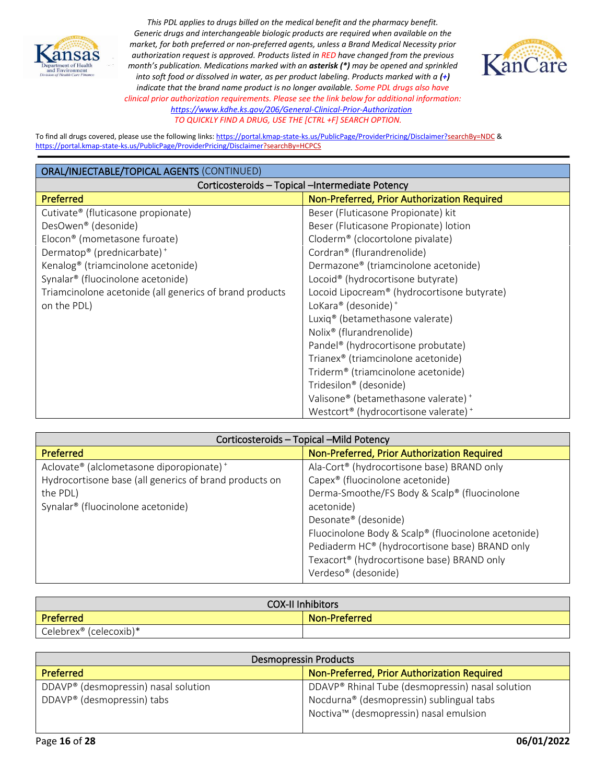



To find all drugs covered, please use the following links[: https://portal.kmap-state-ks.us/PublicPage/ProviderPricing/Disclaimer?searchBy=NDC](https://gcc02.safelinks.protection.outlook.com/?url=https%3A%2F%2Fportal.kmap-state-ks.us%2FPublicPage%2FProviderPricing%2FDisclaimer%3FsearchBy%3DNDC&data=05%7C01%7CAnnette.Grant%40ks.gov%7C6f4aebcb031b435185ba08da230f44a4%7Cdcae8101c92d480cbc43c6761ccccc5a%7C0%7C0%7C637860846518740425%7CUnknown%7CTWFpbGZsb3d8eyJWIjoiMC4wLjAwMDAiLCJQIjoiV2luMzIiLCJBTiI6Ik1haWwiLCJXVCI6Mn0%3D%7C3000%7C%7C%7C&sdata=%2BXsuKC2nc0YmtNHpO99rzQ%2BQejtaivQaJCOCpNK%2BVgo%3D&reserved=0) & <https://portal.kmap-state-ks.us/PublicPage/ProviderPricing/Disclaimer?searchBy=HCPCS>

| ORAL/INJECTABLE/TOPICAL AGENTS (CONTINUED)              |                                                  |
|---------------------------------------------------------|--------------------------------------------------|
| Corticosteroids - Topical - Intermediate Potency        |                                                  |
| Preferred                                               | Non-Preferred, Prior Authorization Required      |
| Cutivate® (fluticasone propionate)                      | Beser (Fluticasone Propionate) kit               |
| DesOwen <sup>®</sup> (desonide)                         | Beser (Fluticasone Propionate) lotion            |
| Elocon <sup>®</sup> (mometasone furoate)                | Cloderm <sup>®</sup> (clocortolone pivalate)     |
| Dermatop® (prednicarbate) <sup>+</sup>                  | Cordran® (flurandrenolide)                       |
| Kenalog <sup>®</sup> (triamcinolone acetonide)          | Dermazone <sup>®</sup> (triamcinolone acetonide) |
| Synalar <sup>®</sup> (fluocinolone acetonide)           | Locoid <sup>®</sup> (hydrocortisone butyrate)    |
| Triamcinolone acetonide (all generics of brand products | Locoid Lipocream® (hydrocortisone butyrate)      |
| on the PDL)                                             | LoKara® (desonide) <sup>+</sup>                  |
|                                                         | Luxiq <sup>®</sup> (betamethasone valerate)      |
|                                                         | Nolix <sup>®</sup> (flurandrenolide)             |
|                                                         | Pandel <sup>®</sup> (hydrocortisone probutate)   |
|                                                         | Trianex <sup>®</sup> (triamcinolone acetonide)   |
|                                                         | Triderm <sup>®</sup> (triamcinolone acetonide)   |
|                                                         | Tridesilon® (desonide)                           |
|                                                         | Valisone® (betamethasone valerate) <sup>+</sup>  |
|                                                         | Westcort® (hydrocortisone valerate) <sup>+</sup> |

| Corticosteroids - Topical - Mild Potency               |                                                     |
|--------------------------------------------------------|-----------------------------------------------------|
| <b>Preferred</b>                                       | Non-Preferred, Prior Authorization Required         |
| Aclovate® (alclometasone diporopionate) <sup>+</sup>   | Ala-Cort® (hydrocortisone base) BRAND only          |
| Hydrocortisone base (all generics of brand products on | Capex <sup>®</sup> (fluocinolone acetonide)         |
| the PDL)                                               | Derma-Smoothe/FS Body & Scalp® (fluocinolone        |
| Synalar <sup>®</sup> (fluocinolone acetonide)          | acetonide)                                          |
|                                                        | Desonate <sup>®</sup> (desonide)                    |
|                                                        | Fluocinolone Body & Scalp® (fluocinolone acetonide) |
|                                                        | Pediaderm HC® (hydrocortisone base) BRAND only      |
|                                                        | Texacort® (hydrocortisone base) BRAND only          |
|                                                        | Verdeso® (desonide)                                 |

| <b>COX-II Inhibitors</b> |               |
|--------------------------|---------------|
| Preferred                | Non-Preferred |
| Celebrex® (celecoxib)*   |               |

| <b>Desmopressin Products</b>                     |                                                  |
|--------------------------------------------------|--------------------------------------------------|
| Preferred                                        | Non-Preferred, Prior Authorization Required      |
| DDAVP <sup>®</sup> (desmopressin) nasal solution | DDAVP® Rhinal Tube (desmopressin) nasal solution |
| DDAVP <sup>®</sup> (desmopressin) tabs           | Nocdurna® (desmopressin) sublingual tabs         |
|                                                  | Noctiva™ (desmopressin) nasal emulsion           |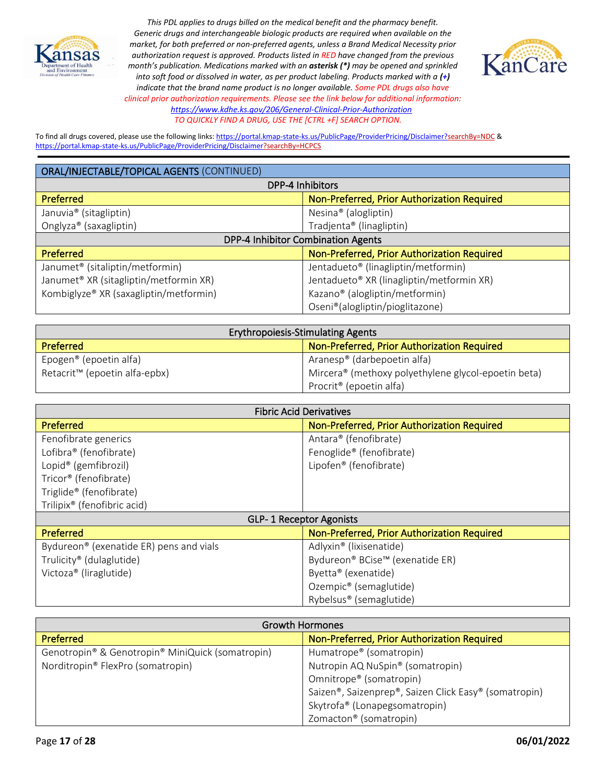



To find all drugs covered, please use the following links[: https://portal.kmap-state-ks.us/PublicPage/ProviderPricing/Disclaimer?searchBy=NDC](https://gcc02.safelinks.protection.outlook.com/?url=https%3A%2F%2Fportal.kmap-state-ks.us%2FPublicPage%2FProviderPricing%2FDisclaimer%3FsearchBy%3DNDC&data=05%7C01%7CAnnette.Grant%40ks.gov%7C6f4aebcb031b435185ba08da230f44a4%7Cdcae8101c92d480cbc43c6761ccccc5a%7C0%7C0%7C637860846518740425%7CUnknown%7CTWFpbGZsb3d8eyJWIjoiMC4wLjAwMDAiLCJQIjoiV2luMzIiLCJBTiI6Ik1haWwiLCJXVCI6Mn0%3D%7C3000%7C%7C%7C&sdata=%2BXsuKC2nc0YmtNHpO99rzQ%2BQejtaivQaJCOCpNK%2BVgo%3D&reserved=0) & <https://portal.kmap-state-ks.us/PublicPage/ProviderPricing/Disclaimer?searchBy=HCPCS>

| ORAL/INJECTABLE/TOPICAL AGENTS (CONTINUED)         |                                                 |  |
|----------------------------------------------------|-------------------------------------------------|--|
| DPP-4 Inhibitors                                   |                                                 |  |
| Preferred                                          | Non-Preferred, Prior Authorization Required     |  |
| Januvia <sup>®</sup> (sitagliptin)                 | Nesina <sup>®</sup> (alogliptin)                |  |
| Onglyza® (saxagliptin)                             | Tradjenta® (linagliptin)                        |  |
| DPP-4 Inhibitor Combination Agents                 |                                                 |  |
| <b>Preferred</b>                                   | Non-Preferred, Prior Authorization Required     |  |
| Janumet <sup>®</sup> (sitaliptin/metformin)        | Jentadueto <sup>®</sup> (linagliptin/metformin) |  |
| Janumet <sup>®</sup> XR (sitagliptin/metformin XR) | Jentadueto® XR (linagliptin/metformin XR)       |  |
| Kombiglyze® XR (saxagliptin/metformin)             | Kazano® (alogliptin/metformin)                  |  |
|                                                    | Oseni®(alogliptin/pioglitazone)                 |  |

| <b>Erythropoiesis-Stimulating Agents</b>  |                                                                 |
|-------------------------------------------|-----------------------------------------------------------------|
| <b>Preferred</b>                          | Non-Preferred, Prior Authorization Required                     |
| Epogen <sup>®</sup> (epoetin alfa)        | Aranesp® (darbepoetin alfa)                                     |
| Retacrit <sup>™</sup> (epoetin alfa-epbx) | Mircera <sup>®</sup> (methoxy polyethylene glycol-epoetin beta) |
|                                           | Procrit <sup>®</sup> (epoetin alfa)                             |

| <b>Fibric Acid Derivatives</b>          |                                             |
|-----------------------------------------|---------------------------------------------|
| Preferred                               | Non-Preferred, Prior Authorization Required |
| Fenofibrate generics                    | Antara® (fenofibrate)                       |
| Lofibra <sup>®</sup> (fenofibrate)      | Fenoglide® (fenofibrate)                    |
| Lopid <sup>®</sup> (gemfibrozil)        | Lipofen® (fenofibrate)                      |
| Tricor® (fenofibrate)                   |                                             |
| Triglide® (fenofibrate)                 |                                             |
| Trilipix <sup>®</sup> (fenofibric acid) |                                             |
| <b>GLP-1 Receptor Agonists</b>          |                                             |
| Preferred                               | Non-Preferred, Prior Authorization Required |
| Bydureon® (exenatide ER) pens and vials | Adlyxin <sup>®</sup> (lixisenatide)         |
| Trulicity <sup>®</sup> (dulaglutide)    | Bydureon® BCise™ (exenatide ER)             |
| Victoza <sup>®</sup> (liraglutide)      | Byetta® (exenatide)                         |
|                                         | Ozempic <sup>®</sup> (semaglutide)          |
|                                         | Rybelsus <sup>®</sup> (semaglutide)         |

|                                                  | <b>Growth Hormones</b>                                |
|--------------------------------------------------|-------------------------------------------------------|
| <b>Preferred</b>                                 | Non-Preferred, Prior Authorization Required           |
| Genotropin® & Genotropin® MiniQuick (somatropin) | Humatrope <sup>®</sup> (somatropin)                   |
| Norditropin® FlexPro (somatropin)                | Nutropin AQ NuSpin <sup>®</sup> (somatropin)          |
|                                                  | Omnitrope® (somatropin)                               |
|                                                  | Saizen®, Saizenprep®, Saizen Click Easy® (somatropin) |
|                                                  | Skytrofa® (Lonapegsomatropin)                         |
|                                                  | Zomacton <sup>®</sup> (somatropin)                    |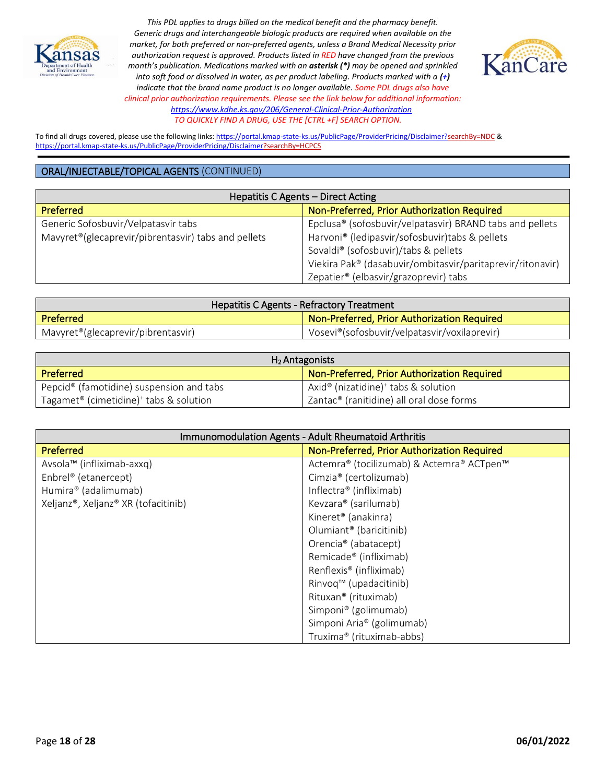



To find all drugs covered, please use the following links[: https://portal.kmap-state-ks.us/PublicPage/ProviderPricing/Disclaimer?searchBy=NDC](https://gcc02.safelinks.protection.outlook.com/?url=https%3A%2F%2Fportal.kmap-state-ks.us%2FPublicPage%2FProviderPricing%2FDisclaimer%3FsearchBy%3DNDC&data=05%7C01%7CAnnette.Grant%40ks.gov%7C6f4aebcb031b435185ba08da230f44a4%7Cdcae8101c92d480cbc43c6761ccccc5a%7C0%7C0%7C637860846518740425%7CUnknown%7CTWFpbGZsb3d8eyJWIjoiMC4wLjAwMDAiLCJQIjoiV2luMzIiLCJBTiI6Ik1haWwiLCJXVCI6Mn0%3D%7C3000%7C%7C%7C&sdata=%2BXsuKC2nc0YmtNHpO99rzQ%2BQejtaivQaJCOCpNK%2BVgo%3D&reserved=0) & <https://portal.kmap-state-ks.us/PublicPage/ProviderPricing/Disclaimer?searchBy=HCPCS>

| Hepatitis C Agents - Direct Acting                               |                                                            |
|------------------------------------------------------------------|------------------------------------------------------------|
| <b>Preferred</b>                                                 | Non-Preferred, Prior Authorization Required                |
| Generic Sofosbuvir/Velpatasvir tabs                              | Epclusa® (sofosbuvir/velpatasvir) BRAND tabs and pellets   |
| Mavyret <sup>®</sup> (glecaprevir/pibrentasvir) tabs and pellets | Harvoni® (ledipasvir/sofosbuvir)tabs & pellets             |
|                                                                  | Sovaldi <sup>®</sup> (sofosbuvir)/tabs & pellets           |
|                                                                  | Viekira Pak® (dasabuvir/ombitasvir/paritaprevir/ritonavir) |
|                                                                  | Zepatier® (elbasvir/grazoprevir) tabs                      |

| <b>Hepatitis C Agents - Refractory Treatment</b> |                                                    |
|--------------------------------------------------|----------------------------------------------------|
| Preferred                                        | <b>Non-Preferred, Prior Authorization Required</b> |
| Mavyret <sup>®</sup> (glecaprevir/pibrentasvir)  | Vosevi®(sofosbuvir/velpatasvir/voxilaprevir)       |

| $H_2$ Antagonists                                              |                                                             |
|----------------------------------------------------------------|-------------------------------------------------------------|
| <b>Preferred</b>                                               | Non-Preferred, Prior Authorization Required                 |
| Pepcid <sup>®</sup> (famotidine) suspension and tabs           | Axid <sup>®</sup> (nizatidine) <sup>+</sup> tabs & solution |
| Tagamet <sup>®</sup> (cimetidine) <sup>+</sup> tabs & solution | Zantac <sup>®</sup> (ranitidine) all oral dose forms        |

| Immunomodulation Agents - Adult Rheumatoid Arthritis |                                             |
|------------------------------------------------------|---------------------------------------------|
| Preferred                                            | Non-Preferred, Prior Authorization Required |
| Avsola™ (infliximab-axxq)                            | Actemra® (tocilizumab) & Actemra® ACTpen™   |
| Enbrel <sup>®</sup> (etanercept)                     | Cimzia® (certolizumab)                      |
| Humira® (adalimumab)                                 | Inflectra® (infliximab)                     |
| Xeljanz®, Xeljanz® XR (tofacitinib)                  | Kevzara® (sarilumab)                        |
|                                                      | Kineret <sup>®</sup> (anakinra)             |
|                                                      | Olumiant <sup>®</sup> (baricitinib)         |
|                                                      | Orencia® (abatacept)                        |
|                                                      | Remicade <sup>®</sup> (infliximab)          |
|                                                      | Renflexis <sup>®</sup> (infliximab)         |
|                                                      | Rinvoq™ (upadacitinib)                      |
|                                                      | Rituxan <sup>®</sup> (rituximab)            |
|                                                      | Simponi® (golimumab)                        |
|                                                      | Simponi Aria® (golimumab)                   |
|                                                      | Truxima® (rituximab-abbs)                   |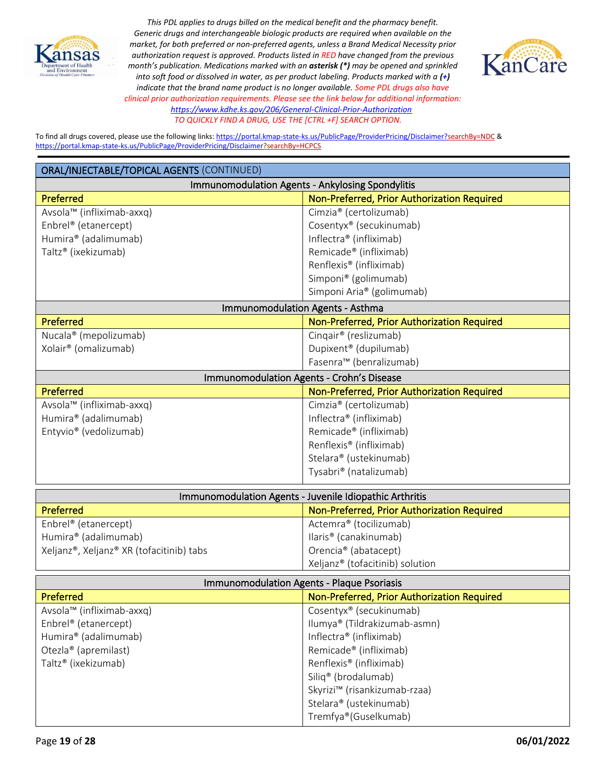



To find all drugs covered, please use the following links[: https://portal.kmap-state-ks.us/PublicPage/ProviderPricing/Disclaimer?searchBy=NDC](https://gcc02.safelinks.protection.outlook.com/?url=https%3A%2F%2Fportal.kmap-state-ks.us%2FPublicPage%2FProviderPricing%2FDisclaimer%3FsearchBy%3DNDC&data=05%7C01%7CAnnette.Grant%40ks.gov%7C6f4aebcb031b435185ba08da230f44a4%7Cdcae8101c92d480cbc43c6761ccccc5a%7C0%7C0%7C637860846518740425%7CUnknown%7CTWFpbGZsb3d8eyJWIjoiMC4wLjAwMDAiLCJQIjoiV2luMzIiLCJBTiI6Ik1haWwiLCJXVCI6Mn0%3D%7C3000%7C%7C%7C&sdata=%2BXsuKC2nc0YmtNHpO99rzQ%2BQejtaivQaJCOCpNK%2BVgo%3D&reserved=0) & <https://portal.kmap-state-ks.us/PublicPage/ProviderPricing/Disclaimer?searchBy=HCPCS>

| ORAL/INJECTABLE/TOPICAL AGENTS (CONTINUED)              |                                             |
|---------------------------------------------------------|---------------------------------------------|
| Immunomodulation Agents - Ankylosing Spondylitis        |                                             |
| Preferred                                               | Non-Preferred, Prior Authorization Required |
| Avsola™ (infliximab-axxq)                               | Cimzia® (certolizumab)                      |
| Enbrel® (etanercept)                                    | Cosentyx® (secukinumab)                     |
| Humira® (adalimumab)                                    | Inflectra® (infliximab)                     |
| Taltz® (ixekizumab)                                     | Remicade <sup>®</sup> (infliximab)          |
|                                                         | Renflexis <sup>®</sup> (infliximab)         |
|                                                         | Simponi® (golimumab)                        |
|                                                         | Simponi Aria® (golimumab)                   |
| Immunomodulation Agents - Asthma                        |                                             |
| Preferred                                               | Non-Preferred, Prior Authorization Required |
| Nucala® (mepolizumab)                                   | Cingair® (reslizumab)                       |
| Xolair <sup>®</sup> (omalizumab)                        | Dupixent <sup>®</sup> (dupilumab)           |
|                                                         | Fasenra™ (benralizumab)                     |
|                                                         | Immunomodulation Agents - Crohn's Disease   |
| Preferred                                               | Non-Preferred, Prior Authorization Required |
| Avsola™ (infliximab-axxq)                               | Cimzia® (certolizumab)                      |
| Humira® (adalimumab)                                    | Inflectra® (infliximab)                     |
| Entyvio <sup>®</sup> (vedolizumab)                      | Remicade <sup>®</sup> (infliximab)          |
|                                                         | Renflexis® (infliximab)                     |
|                                                         | Stelara® (ustekinumab)                      |
|                                                         | Tysabri® (natalizumab)                      |
| Immunomodulation Agents - Juvenile Idiopathic Arthritis |                                             |
| Preferred                                               | Non-Preferred, Prior Authorization Required |
| Enbrel® (etanercept)                                    | Actemra® (tocilizumab)                      |
| Humira® (adalimumab)                                    | llaris <sup>®</sup> (canakinumab)           |
| Xeljanz®, Xeljanz® XR (tofacitinib) tabs                | Orencia <sup>®</sup> (abatacept)            |

| <b>Immunomodulation Agents - Plaque Psoriasis</b> |                                             |
|---------------------------------------------------|---------------------------------------------|
| <b>Preferred</b>                                  | Non-Preferred, Prior Authorization Required |
| Avsola™ (infliximab-axxq)                         | Cosentyx® (secukinumab)                     |
| Enbrel <sup>®</sup> (etanercept)                  | Ilumya® (Tildrakizumab-asmn)                |
| Humira® (adalimumab)                              | Inflectra® (infliximab)                     |
| Otezla® (apremilast)                              | Remicade <sup>®</sup> (infliximab)          |
| Taltz <sup>®</sup> (ixekizumab)                   | Renflexis <sup>®</sup> (infliximab)         |
|                                                   | Siliq <sup>®</sup> (brodalumab)             |
|                                                   | Skyrizi™ (risankizumab-rzaa)                |
|                                                   | Stelara® (ustekinumab)                      |
|                                                   | Tremfya®(Guselkumab)                        |

Xeljanz® (tofacitinib) solution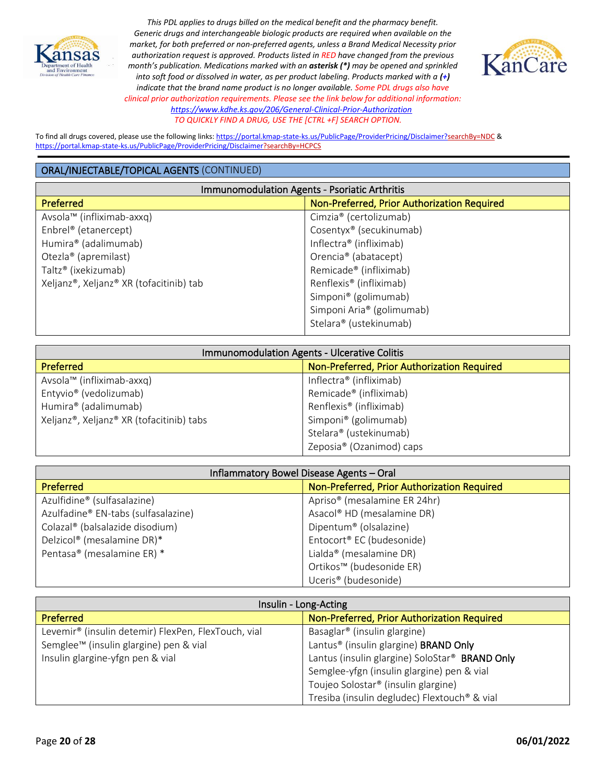



To find all drugs covered, please use the following links[: https://portal.kmap-state-ks.us/PublicPage/ProviderPricing/Disclaimer?searchBy=NDC](https://gcc02.safelinks.protection.outlook.com/?url=https%3A%2F%2Fportal.kmap-state-ks.us%2FPublicPage%2FProviderPricing%2FDisclaimer%3FsearchBy%3DNDC&data=05%7C01%7CAnnette.Grant%40ks.gov%7C6f4aebcb031b435185ba08da230f44a4%7Cdcae8101c92d480cbc43c6761ccccc5a%7C0%7C0%7C637860846518740425%7CUnknown%7CTWFpbGZsb3d8eyJWIjoiMC4wLjAwMDAiLCJQIjoiV2luMzIiLCJBTiI6Ik1haWwiLCJXVCI6Mn0%3D%7C3000%7C%7C%7C&sdata=%2BXsuKC2nc0YmtNHpO99rzQ%2BQejtaivQaJCOCpNK%2BVgo%3D&reserved=0) & <https://portal.kmap-state-ks.us/PublicPage/ProviderPricing/Disclaimer?searchBy=HCPCS>

| <b>Immunomodulation Agents - Psoriatic Arthritis</b> |                                             |
|------------------------------------------------------|---------------------------------------------|
| <b>Preferred</b>                                     | Non-Preferred, Prior Authorization Required |
| Avsola™ (infliximab-axxq)                            | Cimzia® (certolizumab)                      |
| Enbrel <sup>®</sup> (etanercept)                     | Cosentyx <sup>®</sup> (secukinumab)         |
| Humira® (adalimumab)                                 | Inflectra® (infliximab)                     |
| Otezla® (apremilast)                                 | Orencia <sup>®</sup> (abatacept)            |
| Taltz® (ixekizumab)                                  | Remicade <sup>®</sup> (infliximab)          |
| Xeljanz®, Xeljanz® XR (tofacitinib) tab              | Renflexis <sup>®</sup> (infliximab)         |
|                                                      | Simponi <sup>®</sup> (golimumab)            |
|                                                      | Simponi Aria® (golimumab)                   |
|                                                      | Stelara® (ustekinumab)                      |

| Immunomodulation Agents - Ulcerative Colitis |                                             |
|----------------------------------------------|---------------------------------------------|
| Preferred                                    | Non-Preferred, Prior Authorization Required |
| Avsola™ (infliximab-axxq)                    | Inflectra® (infliximab)                     |
| Entyvio <sup>®</sup> (vedolizumab)           | Remicade <sup>®</sup> (infliximab)          |
| Humira® (adalimumab)                         | Renflexis <sup>®</sup> (infliximab)         |
| Xeljanz®, Xeljanz® XR (tofacitinib) tabs     | Simponi <sup>®</sup> (golimumab)            |
|                                              | Stelara® (ustekinumab)                      |
|                                              | Zeposia <sup>®</sup> (Ozanimod) caps        |

| Inflammatory Bowel Disease Agents - Oral    |                                             |
|---------------------------------------------|---------------------------------------------|
| Preferred                                   | Non-Preferred, Prior Authorization Required |
| Azulfidine® (sulfasalazine)                 | Apriso <sup>®</sup> (mesalamine ER 24hr)    |
| Azulfadine® EN-tabs (sulfasalazine)         | Asacol® HD (mesalamine DR)                  |
| Colazal <sup>®</sup> (balsalazide disodium) | Dipentum <sup>®</sup> (olsalazine)          |
| Delzicol® (mesalamine DR)*                  | Entocort <sup>®</sup> EC (budesonide)       |
| Pentasa® (mesalamine ER) *                  | Lialda <sup>®</sup> (mesalamine DR)         |
|                                             | Ortikos™ (budesonide ER)                    |
|                                             | Uceris <sup>®</sup> (budesonide)            |

| Insulin - Long-Acting                                           |                                                   |
|-----------------------------------------------------------------|---------------------------------------------------|
| <b>Preferred</b>                                                | Non-Preferred, Prior Authorization Required       |
| Levemir <sup>®</sup> (insulin detemir) FlexPen, FlexTouch, vial | Basaglar <sup>®</sup> (insulin glargine)          |
| Semglee <sup>™</sup> (insulin glargine) pen & vial              | Lantus <sup>®</sup> (insulin glargine) BRAND Only |
| Insulin glargine-yfgn pen & vial                                | Lantus (insulin glargine) SoloStar® BRAND Only    |
|                                                                 | Semglee-yfgn (insulin glargine) pen & vial        |
|                                                                 | Toujeo Solostar <sup>®</sup> (insulin glargine)   |
|                                                                 | Tresiba (insulin degludec) Flextouch® & vial      |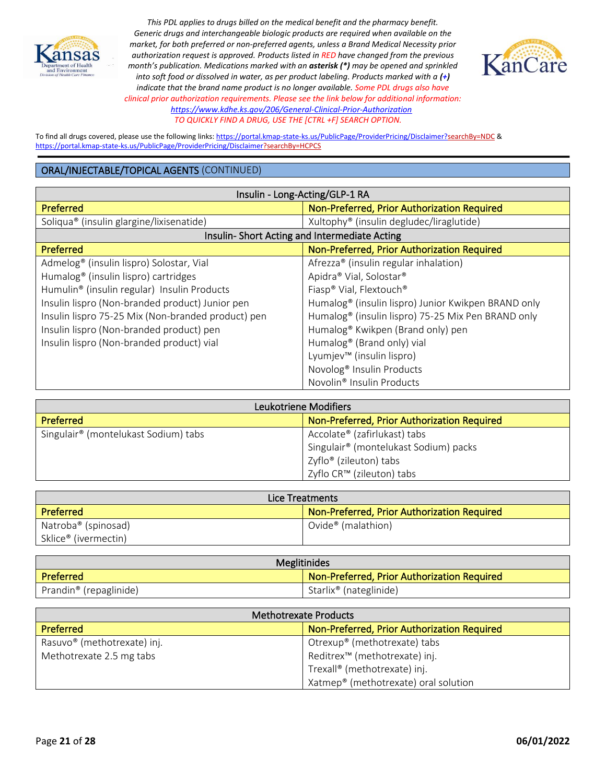



To find all drugs covered, please use the following links[: https://portal.kmap-state-ks.us/PublicPage/ProviderPricing/Disclaimer?searchBy=NDC](https://gcc02.safelinks.protection.outlook.com/?url=https%3A%2F%2Fportal.kmap-state-ks.us%2FPublicPage%2FProviderPricing%2FDisclaimer%3FsearchBy%3DNDC&data=05%7C01%7CAnnette.Grant%40ks.gov%7C6f4aebcb031b435185ba08da230f44a4%7Cdcae8101c92d480cbc43c6761ccccc5a%7C0%7C0%7C637860846518740425%7CUnknown%7CTWFpbGZsb3d8eyJWIjoiMC4wLjAwMDAiLCJQIjoiV2luMzIiLCJBTiI6Ik1haWwiLCJXVCI6Mn0%3D%7C3000%7C%7C%7C&sdata=%2BXsuKC2nc0YmtNHpO99rzQ%2BQejtaivQaJCOCpNK%2BVgo%3D&reserved=0) & <https://portal.kmap-state-ks.us/PublicPage/ProviderPricing/Disclaimer?searchBy=HCPCS>

| Insulin - Long-Acting/GLP-1 RA                       |                                                                 |
|------------------------------------------------------|-----------------------------------------------------------------|
| Preferred                                            | Non-Preferred, Prior Authorization Required                     |
| Soliqua <sup>®</sup> (insulin glargine/lixisenatide) | Xultophy <sup>®</sup> (insulin degludec/liraglutide)            |
| Insulin-Short Acting and Intermediate Acting         |                                                                 |
| <b>Preferred</b>                                     | Non-Preferred, Prior Authorization Required                     |
| Admelog <sup>®</sup> (insulin lispro) Solostar, Vial | Afrezza® (insulin regular inhalation)                           |
| Humalog <sup>®</sup> (insulin lispro) cartridges     | Apidra® Vial, Solostar®                                         |
| Humulin® (insulin regular) Insulin Products          | Fiasp® Vial, Flextouch®                                         |
| Insulin lispro (Non-branded product) Junior pen      | Humalog <sup>®</sup> (insulin lispro) Junior Kwikpen BRAND only |
| Insulin lispro 75-25 Mix (Non-branded product) pen   | Humalog <sup>®</sup> (insulin lispro) 75-25 Mix Pen BRAND only  |
| Insulin lispro (Non-branded product) pen             | Humalog® Kwikpen (Brand only) pen                               |
| Insulin lispro (Non-branded product) vial            | Humalog <sup>®</sup> (Brand only) vial                          |
|                                                      | Lyumjev™ (insulin lispro)                                       |
|                                                      | Novolog <sup>®</sup> Insulin Products                           |
|                                                      | Novolin <sup>®</sup> Insulin Products                           |

| Leukotriene Modifiers                            |                                             |
|--------------------------------------------------|---------------------------------------------|
| Preferred                                        | Non-Preferred, Prior Authorization Required |
| Singulair <sup>®</sup> (montelukast Sodium) tabs | Accolate® (zafirlukast) tabs                |
|                                                  | Singulair® (montelukast Sodium) packs       |
|                                                  | Zyflo® (zileuton) tabs                      |
|                                                  | Zyflo CR™ (zileuton) tabs                   |

| Lice Treatments                 |                                             |
|---------------------------------|---------------------------------------------|
| <b>Preferred</b>                | Non-Preferred, Prior Authorization Required |
| Natroba <sup>®</sup> (spinosad) | Ovide <sup>®</sup> (malathion)              |
| Sklice® (ivermectin)            |                                             |

| <b>Meglitinides</b>                |                                             |
|------------------------------------|---------------------------------------------|
| Preferred                          | Non-Preferred, Prior Authorization Required |
| Prandin <sup>®</sup> (repaglinide) | Starlix <sup>®</sup> (nateglinide)          |

| Methotrexate Products                   |                                                  |
|-----------------------------------------|--------------------------------------------------|
| <b>Preferred</b>                        | Non-Preferred, Prior Authorization Required      |
| Rasuvo <sup>®</sup> (methotrexate) inj. | Otrexup® (methotrexate) tabs                     |
| Methotrexate 2.5 mg tabs                | Reditrex <sup>™</sup> (methotrexate) inj.        |
|                                         | Trexall <sup>®</sup> (methotrexate) inj.         |
|                                         | Xatmep <sup>®</sup> (methotrexate) oral solution |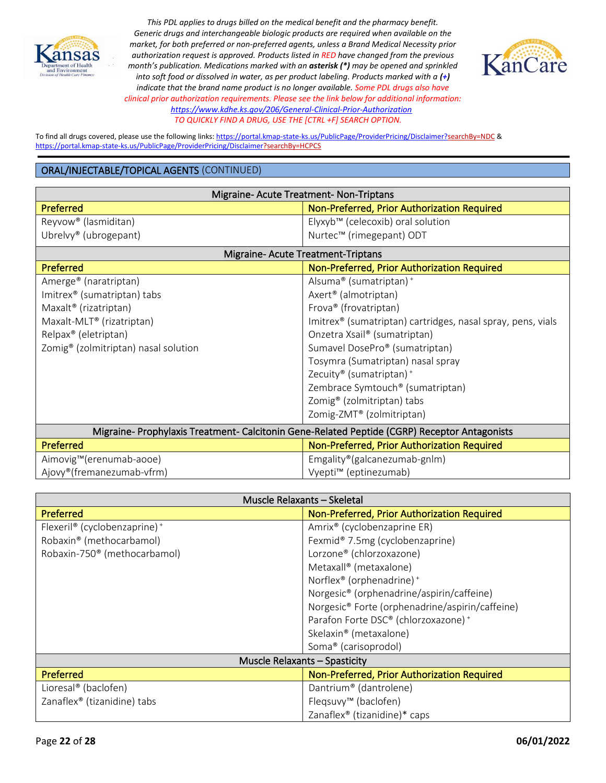



To find all drugs covered, please use the following links[: https://portal.kmap-state-ks.us/PublicPage/ProviderPricing/Disclaimer?searchBy=NDC](https://gcc02.safelinks.protection.outlook.com/?url=https%3A%2F%2Fportal.kmap-state-ks.us%2FPublicPage%2FProviderPricing%2FDisclaimer%3FsearchBy%3DNDC&data=05%7C01%7CAnnette.Grant%40ks.gov%7C6f4aebcb031b435185ba08da230f44a4%7Cdcae8101c92d480cbc43c6761ccccc5a%7C0%7C0%7C637860846518740425%7CUnknown%7CTWFpbGZsb3d8eyJWIjoiMC4wLjAwMDAiLCJQIjoiV2luMzIiLCJBTiI6Ik1haWwiLCJXVCI6Mn0%3D%7C3000%7C%7C%7C&sdata=%2BXsuKC2nc0YmtNHpO99rzQ%2BQejtaivQaJCOCpNK%2BVgo%3D&reserved=0) & <https://portal.kmap-state-ks.us/PublicPage/ProviderPricing/Disclaimer?searchBy=HCPCS>

| Migraine-Acute Treatment-Non-Triptans                                                        |                                                             |
|----------------------------------------------------------------------------------------------|-------------------------------------------------------------|
| Preferred                                                                                    | Non-Preferred, Prior Authorization Required                 |
| Reyvow <sup>®</sup> (lasmiditan)                                                             | Elyxyb™ (celecoxib) oral solution                           |
| Ubrelvy® (ubrogepant)                                                                        | Nurtec™ (rimegepant) ODT                                    |
| Migraine-Acute Treatment-Triptans                                                            |                                                             |
| Preferred                                                                                    | Non-Preferred, Prior Authorization Required                 |
| Amerge <sup>®</sup> (naratriptan)                                                            | Alsuma <sup>®</sup> (sumatriptan) <sup>+</sup>              |
| Imitrex <sup>®</sup> (sumatriptan) tabs                                                      | Axert <sup>®</sup> (almotriptan)                            |
| Maxalt <sup>®</sup> (rizatriptan)                                                            | Frova® (frovatriptan)                                       |
| Maxalt-MLT® (rizatriptan)                                                                    | Imitrex® (sumatriptan) cartridges, nasal spray, pens, vials |
| Relpax <sup>®</sup> (eletriptan)                                                             | Onzetra Xsail <sup>®</sup> (sumatriptan)                    |
| Zomig <sup>®</sup> (zolmitriptan) nasal solution                                             | Sumavel DosePro® (sumatriptan)                              |
|                                                                                              | Tosymra (Sumatriptan) nasal spray                           |
|                                                                                              | Zecuity <sup>®</sup> (sumatriptan) <sup>+</sup>             |
|                                                                                              | Zembrace Symtouch® (sumatriptan)                            |
|                                                                                              | Zomig <sup>®</sup> (zolmitriptan) tabs                      |
|                                                                                              | Zomig-ZMT® (zolmitriptan)                                   |
| Migraine- Prophylaxis Treatment- Calcitonin Gene-Related Peptide (CGRP) Receptor Antagonists |                                                             |
| Preferred                                                                                    | Non-Preferred, Prior Authorization Required                 |
| Aimovig™(erenumab-aooe)                                                                      | Emgality®(galcanezumab-gnlm)                                |
| Ajovy®(fremanezumab-vfrm)                                                                    | Vyepti <sup>™</sup> (eptinezumab)                           |

| Muscle Relaxants - Skeletal                          |                                                             |
|------------------------------------------------------|-------------------------------------------------------------|
| Preferred                                            | Non-Preferred, Prior Authorization Required                 |
| Flexeril <sup>®</sup> (cyclobenzaprine) <sup>+</sup> | Amrix <sup>®</sup> (cyclobenzaprine ER)                     |
| Robaxin® (methocarbamol)                             | Fexmid® 7.5mg (cyclobenzaprine)                             |
| Robaxin-750 <sup>®</sup> (methocarbamol)             | Lorzone® (chlorzoxazone)                                    |
|                                                      | Metaxall <sup>®</sup> (metaxalone)                          |
|                                                      | Norflex <sup>®</sup> (orphenadrine) <sup>+</sup>            |
|                                                      | Norgesic <sup>®</sup> (orphenadrine/aspirin/caffeine)       |
|                                                      | Norgesic <sup>®</sup> Forte (orphenadrine/aspirin/caffeine) |
|                                                      | Parafon Forte DSC® (chlorzoxazone) <sup>+</sup>             |
|                                                      | Skelaxin® (metaxalone)                                      |
|                                                      | Soma <sup>®</sup> (carisoprodol)                            |
| <b>Muscle Relaxants - Spasticity</b>                 |                                                             |
| Preferred                                            | Non-Preferred, Prior Authorization Required                 |
| Lioresal <sup>®</sup> (baclofen)                     | Dantrium® (dantrolene)                                      |
| Zanaflex <sup>®</sup> (tizanidine) tabs              | Fleqsuvy <sup>™</sup> (baclofen)                            |
|                                                      | Zanaflex <sup>®</sup> (tizanidine)* caps                    |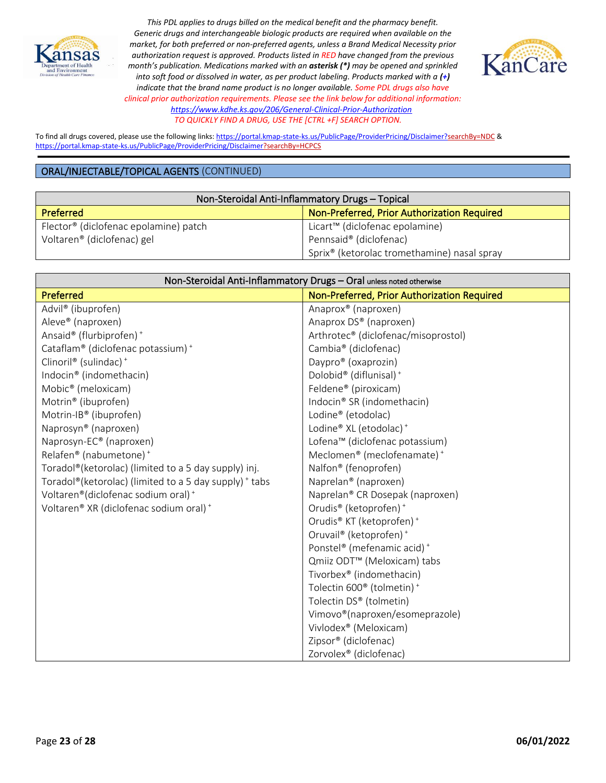



To find all drugs covered, please use the following links[: https://portal.kmap-state-ks.us/PublicPage/ProviderPricing/Disclaimer?searchBy=NDC](https://gcc02.safelinks.protection.outlook.com/?url=https%3A%2F%2Fportal.kmap-state-ks.us%2FPublicPage%2FProviderPricing%2FDisclaimer%3FsearchBy%3DNDC&data=05%7C01%7CAnnette.Grant%40ks.gov%7C6f4aebcb031b435185ba08da230f44a4%7Cdcae8101c92d480cbc43c6761ccccc5a%7C0%7C0%7C637860846518740425%7CUnknown%7CTWFpbGZsb3d8eyJWIjoiMC4wLjAwMDAiLCJQIjoiV2luMzIiLCJBTiI6Ik1haWwiLCJXVCI6Mn0%3D%7C3000%7C%7C%7C&sdata=%2BXsuKC2nc0YmtNHpO99rzQ%2BQejtaivQaJCOCpNK%2BVgo%3D&reserved=0) & <https://portal.kmap-state-ks.us/PublicPage/ProviderPricing/Disclaimer?searchBy=HCPCS>

| Non-Steroidal Anti-Inflammatory Drugs - Topical   |                                                         |
|---------------------------------------------------|---------------------------------------------------------|
| <b>Preferred</b>                                  | Non-Preferred, Prior Authorization Required             |
| Flector <sup>®</sup> (diclofenac epolamine) patch | Licart <sup>™</sup> (diclofenac epolamine)              |
| Voltaren <sup>®</sup> (diclofenac) gel            | Pennsaid® (diclofenac)                                  |
|                                                   | Sprix <sup>®</sup> (ketorolac tromethamine) nasal spray |

| Non-Steroidal Anti-Inflammatory Drugs - Oral unless noted otherwise |                                                   |
|---------------------------------------------------------------------|---------------------------------------------------|
| Preferred                                                           | Non-Preferred, Prior Authorization Required       |
| Advil® (ibuprofen)                                                  | Anaprox® (naproxen)                               |
| Aleve® (naproxen)                                                   | Anaprox DS® (naproxen)                            |
| Ansaid® (flurbiprofen) <sup>+</sup>                                 | Arthrotec® (diclofenac/misoprostol)               |
| Cataflam® (diclofenac potassium) +                                  | Cambia <sup>®</sup> (diclofenac)                  |
| Clinoril® (sulindac) <sup>+</sup>                                   | Daypro® (oxaprozin)                               |
| Indocin® (indomethacin)                                             | Dolobid® (diflunisal) <sup>+</sup>                |
| Mobic <sup>®</sup> (meloxicam)                                      | Feldene® (piroxicam)                              |
| Motrin® (ibuprofen)                                                 | Indocin® SR (indomethacin)                        |
| Motrin-IB® (ibuprofen)                                              | Lodine® (etodolac)                                |
| Naprosyn® (naproxen)                                                | Lodine® XL (etodolac) <sup>+</sup>                |
| Naprosyn-EC <sup>®</sup> (naproxen)                                 | Lofena™ (diclofenac potassium)                    |
| Relafen® (nabumetone) <sup>+</sup>                                  | Meclomen® (meclofenamate) <sup>+</sup>            |
| Toradol®(ketorolac) (limited to a 5 day supply) inj.                | Nalfon <sup>®</sup> (fenoprofen)                  |
| Toradol®(ketorolac) (limited to a 5 day supply) + tabs              | Naprelan <sup>®</sup> (naproxen)                  |
| Voltaren®(diclofenac sodium oral) <sup>+</sup>                      | Naprelan® CR Dosepak (naproxen)                   |
| Voltaren® XR (diclofenac sodium oral) <sup>+</sup>                  | Orudis® (ketoprofen) <sup>+</sup>                 |
|                                                                     | Orudis® KT (ketoprofen) <sup>+</sup>              |
|                                                                     | Oruvail® (ketoprofen) <sup>+</sup>                |
|                                                                     | Ponstel® (mefenamic acid) <sup>+</sup>            |
|                                                                     | Qmiiz ODT <sup>™</sup> (Meloxicam) tabs           |
|                                                                     | Tivorbex® (indomethacin)                          |
|                                                                     | Tolectin 600 <sup>®</sup> (tolmetin) <sup>+</sup> |
|                                                                     | Tolectin DS® (tolmetin)                           |
|                                                                     | Vimovo®(naproxen/esomeprazole)                    |
|                                                                     | Vivlodex <sup>®</sup> (Meloxicam)                 |
|                                                                     | Zipsor® (diclofenac)                              |
|                                                                     | Zorvolex® (diclofenac)                            |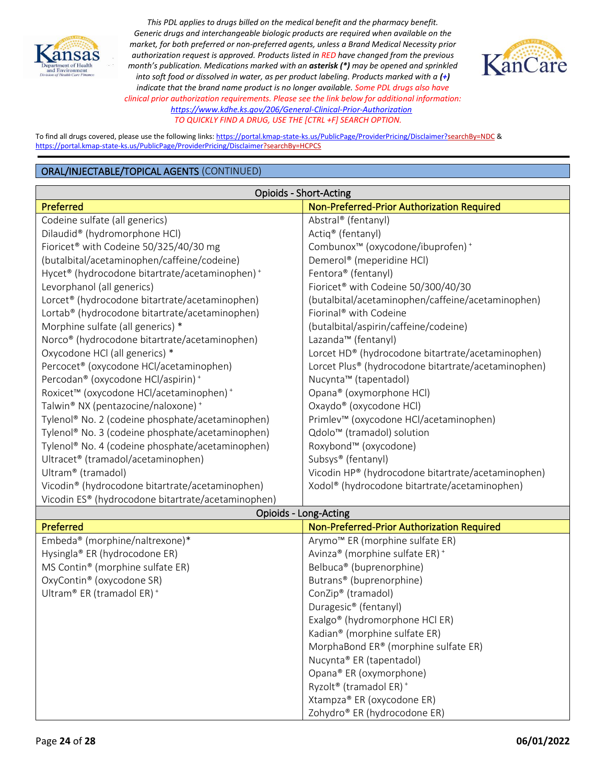



To find all drugs covered, please use the following links[: https://portal.kmap-state-ks.us/PublicPage/ProviderPricing/Disclaimer?searchBy=NDC](https://gcc02.safelinks.protection.outlook.com/?url=https%3A%2F%2Fportal.kmap-state-ks.us%2FPublicPage%2FProviderPricing%2FDisclaimer%3FsearchBy%3DNDC&data=05%7C01%7CAnnette.Grant%40ks.gov%7C6f4aebcb031b435185ba08da230f44a4%7Cdcae8101c92d480cbc43c6761ccccc5a%7C0%7C0%7C637860846518740425%7CUnknown%7CTWFpbGZsb3d8eyJWIjoiMC4wLjAwMDAiLCJQIjoiV2luMzIiLCJBTiI6Ik1haWwiLCJXVCI6Mn0%3D%7C3000%7C%7C%7C&sdata=%2BXsuKC2nc0YmtNHpO99rzQ%2BQejtaivQaJCOCpNK%2BVgo%3D&reserved=0) & <https://portal.kmap-state-ks.us/PublicPage/ProviderPricing/Disclaimer?searchBy=HCPCS>

| <b>Opioids - Short-Acting</b>                                |                                                           |
|--------------------------------------------------------------|-----------------------------------------------------------|
| Preferred                                                    | Non-Preferred-Prior Authorization Required                |
| Codeine sulfate (all generics)                               | Abstral <sup>®</sup> (fentanyl)                           |
| Dilaudid® (hydromorphone HCl)                                | Actiq® (fentanyl)                                         |
| Fioricet <sup>®</sup> with Codeine 50/325/40/30 mg           | Combunox <sup>™</sup> (oxycodone/ibuprofen) <sup>+</sup>  |
| (butalbital/acetaminophen/caffeine/codeine)                  | Demerol® (meperidine HCl)                                 |
| Hycet® (hydrocodone bitartrate/acetaminophen) <sup>+</sup>   | Fentora <sup>®</sup> (fentanyl)                           |
| Levorphanol (all generics)                                   | Fioricet <sup>®</sup> with Codeine 50/300/40/30           |
| Lorcet® (hydrocodone bitartrate/acetaminophen)               | (butalbital/acetaminophen/caffeine/acetaminophen)         |
| Lortab <sup>®</sup> (hydrocodone bitartrate/acetaminophen)   | Fiorinal <sup>®</sup> with Codeine                        |
| Morphine sulfate (all generics) *                            | (butalbital/aspirin/caffeine/codeine)                     |
| Norco <sup>®</sup> (hydrocodone bitartrate/acetaminophen)    | Lazanda™ (fentanyl)                                       |
| Oxycodone HCl (all generics) *                               | Lorcet HD® (hydrocodone bitartrate/acetaminophen)         |
| Percocet <sup>®</sup> (oxycodone HCl/acetaminophen)          | Lorcet Plus® (hydrocodone bitartrate/acetaminophen)       |
| Percodan <sup>®</sup> (oxycodone HCl/aspirin) <sup>+</sup>   | Nucynta™ (tapentadol)                                     |
| Roxicet™ (oxycodone HCl/acetaminophen) +                     | Opana® (oxymorphone HCl)                                  |
| Talwin <sup>®</sup> NX (pentazocine/naloxone) <sup>+</sup>   | Oxaydo® (oxycodone HCl)                                   |
| Tylenol® No. 2 (codeine phosphate/acetaminophen)             | Primlev™ (oxycodone HCl/acetaminophen)                    |
| Tylenol® No. 3 (codeine phosphate/acetaminophen)             | Qdolo <sup>™</sup> (tramadol) solution                    |
| Tylenol <sup>®</sup> No. 4 (codeine phosphate/acetaminophen) | Roxybond™ (oxycodone)                                     |
| Ultracet <sup>®</sup> (tramadol/acetaminophen)               | Subsys® (fentanyl)                                        |
| Ultram® (tramadol)                                           | Vicodin HP® (hydrocodone bitartrate/acetaminophen)        |
| Vicodin <sup>®</sup> (hydrocodone bitartrate/acetaminophen)  | Xodol <sup>®</sup> (hydrocodone bitartrate/acetaminophen) |
| Vicodin ES® (hydrocodone bitartrate/acetaminophen)           |                                                           |
| Opioids - Long-Acting                                        |                                                           |

| <b>Preferred</b>                             | Non-Preferred-Prior Authorization Required     |
|----------------------------------------------|------------------------------------------------|
| Embeda <sup>®</sup> (morphine/naltrexone)*   | Arymo <sup>™</sup> ER (morphine sulfate ER)    |
| Hysingla® ER (hydrocodone ER)                | Avinza® (morphine sulfate ER) <sup>+</sup>     |
| MS Contin <sup>®</sup> (morphine sulfate ER) | Belbuca <sup>®</sup> (buprenorphine)           |
| OxyContin <sup>®</sup> (oxycodone SR)        | Butrans <sup>®</sup> (buprenorphine)           |
| Ultram® ER (tramadol ER) <sup>+</sup>        | ConZip <sup>®</sup> (tramadol)                 |
|                                              | Duragesic <sup>®</sup> (fentanyl)              |
|                                              | Exalgo <sup>®</sup> (hydromorphone HCl ER)     |
|                                              | Kadian <sup>®</sup> (morphine sulfate ER)      |
|                                              | MorphaBond ER® (morphine sulfate ER)           |
|                                              | Nucynta® ER (tapentadol)                       |
|                                              | Opana® ER (oxymorphone)                        |
|                                              | Ryzolt <sup>®</sup> (tramadol ER) <sup>+</sup> |
|                                              | Xtampza® ER (oxycodone ER)                     |
|                                              | Zohydro® ER (hydrocodone ER)                   |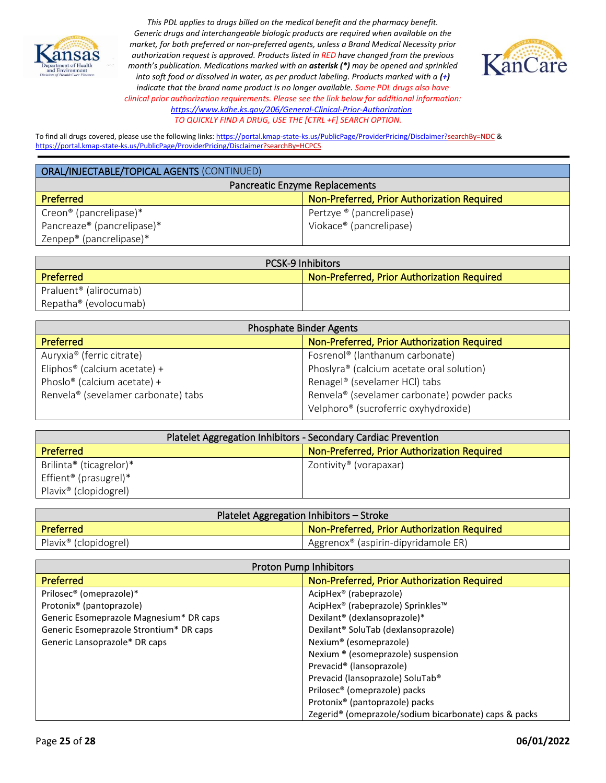



To find all drugs covered, please use the following links[: https://portal.kmap-state-ks.us/PublicPage/ProviderPricing/Disclaimer?searchBy=NDC](https://gcc02.safelinks.protection.outlook.com/?url=https%3A%2F%2Fportal.kmap-state-ks.us%2FPublicPage%2FProviderPricing%2FDisclaimer%3FsearchBy%3DNDC&data=05%7C01%7CAnnette.Grant%40ks.gov%7C6f4aebcb031b435185ba08da230f44a4%7Cdcae8101c92d480cbc43c6761ccccc5a%7C0%7C0%7C637860846518740425%7CUnknown%7CTWFpbGZsb3d8eyJWIjoiMC4wLjAwMDAiLCJQIjoiV2luMzIiLCJBTiI6Ik1haWwiLCJXVCI6Mn0%3D%7C3000%7C%7C%7C&sdata=%2BXsuKC2nc0YmtNHpO99rzQ%2BQejtaivQaJCOCpNK%2BVgo%3D&reserved=0) & <https://portal.kmap-state-ks.us/PublicPage/ProviderPricing/Disclaimer?searchBy=HCPCS>

| ORAL/INJECTABLE/TOPICAL AGENTS (CONTINUED) |                                             |
|--------------------------------------------|---------------------------------------------|
| Pancreatic Enzyme Replacements             |                                             |
| Preferred                                  | Non-Preferred, Prior Authorization Required |
| Creon <sup>®</sup> (pancrelipase)*         | Pertzye ® (pancrelipase)                    |
| Pancreaze <sup>®</sup> (pancrelipase)*     | Viokace <sup>®</sup> (pancrelipase)         |
| Zenpep <sup>®</sup> (pancrelipase)*        |                                             |

| <b>PCSK-9 Inhibitors</b>           |                                                    |
|------------------------------------|----------------------------------------------------|
| Preferred                          | <b>Non-Preferred, Prior Authorization Required</b> |
| Praluent <sup>®</sup> (alirocumab) |                                                    |
| Repatha <sup>®</sup> (evolocumab)  |                                                    |

| <b>Phosphate Binder Agents</b>                  |                                                  |
|-------------------------------------------------|--------------------------------------------------|
| <b>Preferred</b>                                | Non-Preferred, Prior Authorization Required      |
| Auryxia <sup>®</sup> (ferric citrate)           | Fosrenol <sup>®</sup> (lanthanum carbonate)      |
| Eliphos <sup>®</sup> (calcium acetate) +        | Phoslyra® (calcium acetate oral solution)        |
| Phoslo <sup>®</sup> (calcium acetate) +         | Renagel® (sevelamer HCl) tabs                    |
| Renvela <sup>®</sup> (sevelamer carbonate) tabs | Renvela® (sevelamer carbonate) powder packs      |
|                                                 | Velphoro <sup>®</sup> (sucroferric oxyhydroxide) |

| Platelet Aggregation Inhibitors - Secondary Cardiac Prevention |                                             |
|----------------------------------------------------------------|---------------------------------------------|
| Preferred                                                      | Non-Preferred, Prior Authorization Required |
| Brilinta <sup>®</sup> (ticagrelor)*                            | Zontivity <sup>®</sup> (vorapaxar)          |
| Effient <sup>®</sup> (prasugrel)*                              |                                             |
| Plavix <sup>®</sup> (clopidogrel)                              |                                             |

| Platelet Aggregation Inhibitors - Stroke |                                                    |
|------------------------------------------|----------------------------------------------------|
| <b>Preferred</b>                         | Non-Preferred, Prior Authorization Required        |
| Plavix <sup>®</sup> (clopidogrel)        | Aggrenox <sup>®</sup> (aspirin-dipyridamole $ER$ ) |

| <b>Proton Pump Inhibitors</b>           |                                                                   |
|-----------------------------------------|-------------------------------------------------------------------|
| <b>Preferred</b>                        | Non-Preferred, Prior Authorization Required                       |
| Prilosec <sup>®</sup> (omeprazole)*     | AcipHex <sup>®</sup> (rabeprazole)                                |
| Protonix <sup>®</sup> (pantoprazole)    | AcipHex® (rabeprazole) Sprinkles™                                 |
| Generic Esomeprazole Magnesium* DR caps | Dexilant <sup>®</sup> (dexlansoprazole)*                          |
| Generic Esomeprazole Strontium* DR caps | Dexilant <sup>®</sup> SoluTab (dexlansoprazole)                   |
| Generic Lansoprazole* DR caps           | Nexium <sup>®</sup> (esomeprazole)                                |
|                                         | Nexium ® (esomeprazole) suspension                                |
|                                         | Prevacid <sup>®</sup> (lansoprazole)                              |
|                                         | Prevacid (lansoprazole) SoluTab®                                  |
|                                         | Prilosec <sup>®</sup> (omeprazole) packs                          |
|                                         | Protonix <sup>®</sup> (pantoprazole) packs                        |
|                                         | Zegerid <sup>®</sup> (omeprazole/sodium bicarbonate) caps & packs |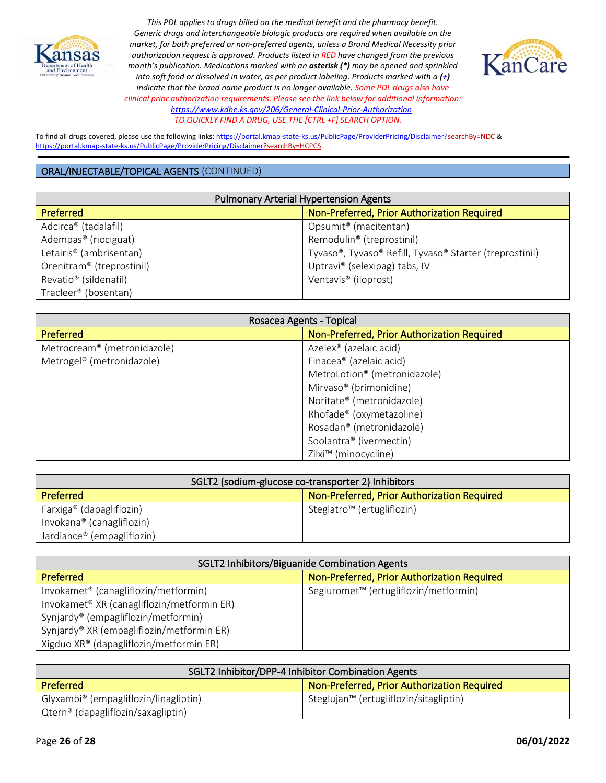



To find all drugs covered, please use the following links[: https://portal.kmap-state-ks.us/PublicPage/ProviderPricing/Disclaimer?searchBy=NDC](https://gcc02.safelinks.protection.outlook.com/?url=https%3A%2F%2Fportal.kmap-state-ks.us%2FPublicPage%2FProviderPricing%2FDisclaimer%3FsearchBy%3DNDC&data=05%7C01%7CAnnette.Grant%40ks.gov%7C6f4aebcb031b435185ba08da230f44a4%7Cdcae8101c92d480cbc43c6761ccccc5a%7C0%7C0%7C637860846518740425%7CUnknown%7CTWFpbGZsb3d8eyJWIjoiMC4wLjAwMDAiLCJQIjoiV2luMzIiLCJBTiI6Ik1haWwiLCJXVCI6Mn0%3D%7C3000%7C%7C%7C&sdata=%2BXsuKC2nc0YmtNHpO99rzQ%2BQejtaivQaJCOCpNK%2BVgo%3D&reserved=0) & <https://portal.kmap-state-ks.us/PublicPage/ProviderPricing/Disclaimer?searchBy=HCPCS>

| <b>Pulmonary Arterial Hypertension Agents</b> |                                                         |
|-----------------------------------------------|---------------------------------------------------------|
| <b>Preferred</b>                              | Non-Preferred, Prior Authorization Required             |
| Adcirca <sup>®</sup> (tadalafil)              | Opsumit <sup>®</sup> (macitentan)                       |
| Adempas <sup>®</sup> (riociguat)              | Remodulin <sup>®</sup> (treprostinil)                   |
| Letairis <sup>®</sup> (ambrisentan)           | Tyvaso®, Tyvaso® Refill, Tyvaso® Starter (treprostinil) |
| Orenitram <sup>®</sup> (treprostinil)         | Uptravi® (selexipag) tabs, IV                           |
| Revatio <sup>®</sup> (sildenafil)             | Ventavis <sup>®</sup> (iloprost)                        |
| Tracleer <sup>®</sup> (bosentan)              |                                                         |

| Rosacea Agents - Topical                |                                             |
|-----------------------------------------|---------------------------------------------|
| <b>Preferred</b>                        | Non-Preferred, Prior Authorization Required |
| Metrocream <sup>®</sup> (metronidazole) | Azelex <sup>®</sup> (azelaic acid)          |
| Metrogel <sup>®</sup> (metronidazole)   | Finacea® (azelaic acid)                     |
|                                         | MetroLotion <sup>®</sup> (metronidazole)    |
|                                         | Mirvaso <sup>®</sup> (brimonidine)          |
|                                         | Noritate® (metronidazole)                   |
|                                         | Rhofade® (oxymetazoline)                    |
|                                         | Rosadan <sup>®</sup> (metronidazole)        |
|                                         | Soolantra® (ivermectin)                     |
|                                         | Zilxi <sup>™</sup> (minocycline)            |

| SGLT2 (sodium-glucose co-transporter 2) Inhibitors |                                             |
|----------------------------------------------------|---------------------------------------------|
| <b>Preferred</b>                                   | Non-Preferred, Prior Authorization Required |
| Farxiga <sup>®</sup> (dapagliflozin)               | Steglatro <sup>™</sup> (ertugliflozin)      |
| Invokana <sup>®</sup> (canagliflozin)              |                                             |
| Jardiance <sup>®</sup> (empagliflozin)             |                                             |

| SGLT2 Inhibitors/Biguanide Combination Agents          |                                                   |
|--------------------------------------------------------|---------------------------------------------------|
| <b>Preferred</b>                                       | Non-Preferred, Prior Authorization Required       |
| Invokamet <sup>®</sup> (canagliflozin/metformin)       | Segluromet <sup>™</sup> (ertugliflozin/metformin) |
| Invokamet <sup>®</sup> XR (canagliflozin/metformin ER) |                                                   |
| Synjardy <sup>®</sup> (empagliflozin/metformin)        |                                                   |
| Synjardy® XR (empagliflozin/metformin ER)              |                                                   |
| Xigduo XR® (dapagliflozin/metformin ER)                |                                                   |

| SGLT2 Inhibitor/DPP-4 Inhibitor Combination Agents |                                                    |
|----------------------------------------------------|----------------------------------------------------|
| Preferred                                          | Non-Preferred, Prior Authorization Required        |
| Glyxambi® (empagliflozin/linagliptin)              | Steglujan <sup>™</sup> (ertugliflozin/sitagliptin) |
| Qtern® (dapagliflozin/saxagliptin)                 |                                                    |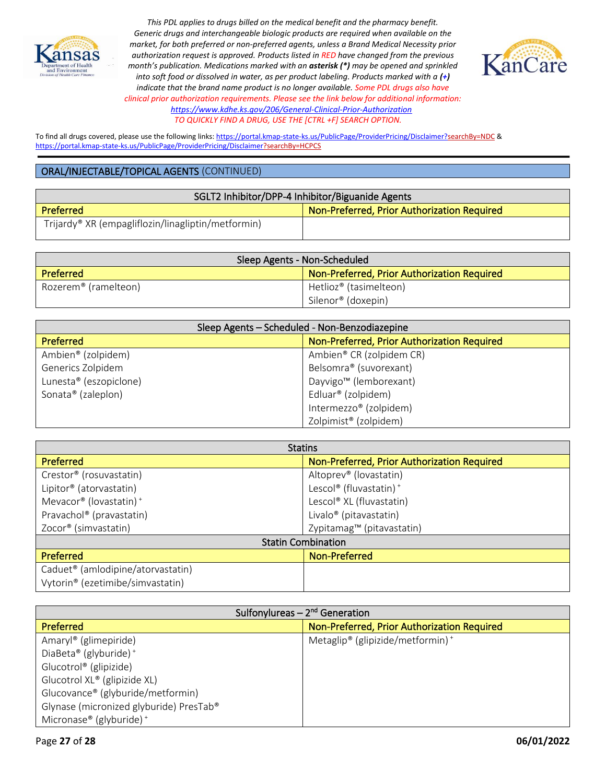



To find all drugs covered, please use the following links[: https://portal.kmap-state-ks.us/PublicPage/ProviderPricing/Disclaimer?searchBy=NDC](https://gcc02.safelinks.protection.outlook.com/?url=https%3A%2F%2Fportal.kmap-state-ks.us%2FPublicPage%2FProviderPricing%2FDisclaimer%3FsearchBy%3DNDC&data=05%7C01%7CAnnette.Grant%40ks.gov%7C6f4aebcb031b435185ba08da230f44a4%7Cdcae8101c92d480cbc43c6761ccccc5a%7C0%7C0%7C637860846518740425%7CUnknown%7CTWFpbGZsb3d8eyJWIjoiMC4wLjAwMDAiLCJQIjoiV2luMzIiLCJBTiI6Ik1haWwiLCJXVCI6Mn0%3D%7C3000%7C%7C%7C&sdata=%2BXsuKC2nc0YmtNHpO99rzQ%2BQejtaivQaJCOCpNK%2BVgo%3D&reserved=0) & <https://portal.kmap-state-ks.us/PublicPage/ProviderPricing/Disclaimer?searchBy=HCPCS>

| SGLT2 Inhibitor/DPP-4 Inhibitor/Biguanide Agents               |                                             |
|----------------------------------------------------------------|---------------------------------------------|
| <b>Preferred</b>                                               | Non-Preferred, Prior Authorization Required |
| Trijardy <sup>®</sup> XR (empagliflozin/linagliptin/metformin) |                                             |

| Sleep Agents - Non-Scheduled     |                                             |
|----------------------------------|---------------------------------------------|
| Preferred                        | Non-Preferred, Prior Authorization Required |
| Rozerem <sup>®</sup> (ramelteon) | Hetlioz® (tasimelteon)                      |
|                                  | Silenor® (doxepin)                          |

| Sleep Agents - Scheduled - Non-Benzodiazepine |                                             |
|-----------------------------------------------|---------------------------------------------|
| <b>Preferred</b>                              | Non-Preferred, Prior Authorization Required |
| Ambien® (zolpidem)                            | Ambien® CR (zolpidem CR)                    |
| Generics Zolpidem                             | Belsomra® (suvorexant)                      |
| Lunesta® (eszopiclone)                        | Dayvigo <sup>™</sup> (lemborexant)          |
| Sonata® (zaleplon)                            | Edluar <sup>®</sup> (zolpidem)              |
|                                               | Intermezzo® (zolpidem)                      |
|                                               | Zolpimist® (zolpidem)                       |

| <b>Statins</b>                                |                                             |
|-----------------------------------------------|---------------------------------------------|
| <b>Preferred</b>                              | Non-Preferred, Prior Authorization Required |
| Crestor <sup>®</sup> (rosuvastatin)           | Altoprev <sup>®</sup> (lovastatin)          |
| Lipitor <sup>®</sup> (atorvastatin)           | Lescol® (fluvastatin) <sup>+</sup>          |
| Mevacor® (lovastatin) <sup>+</sup>            | Lescol® XL (fluvastatin)                    |
| Pravachol® (pravastatin)                      | Livalo <sup>®</sup> (pitavastatin)          |
| Zocor <sup>®</sup> (simvastatin)              | Zypitamag™ (pitavastatin)                   |
| <b>Statin Combination</b>                     |                                             |
| <b>Preferred</b>                              | Non-Preferred                               |
| Caduet <sup>®</sup> (amlodipine/atorvastatin) |                                             |
| Vytorin <sup>®</sup> (ezetimibe/simvastatin)  |                                             |

| Sulfonylureas $-2nd$ Generation         |                                                          |
|-----------------------------------------|----------------------------------------------------------|
| <b>Preferred</b>                        | Non-Preferred, Prior Authorization Required              |
| Amaryl® (glimepiride)                   | Metaglip <sup>®</sup> (glipizide/metformin) <sup>+</sup> |
| DiaBeta® (glyburide) <sup>+</sup>       |                                                          |
| Glucotrol <sup>®</sup> (glipizide)      |                                                          |
| Glucotrol XL® (glipizide XL)            |                                                          |
| Glucovance® (glyburide/metformin)       |                                                          |
| Glynase (micronized glyburide) PresTab® |                                                          |
| Micronase® (glyburide) <sup>+</sup>     |                                                          |